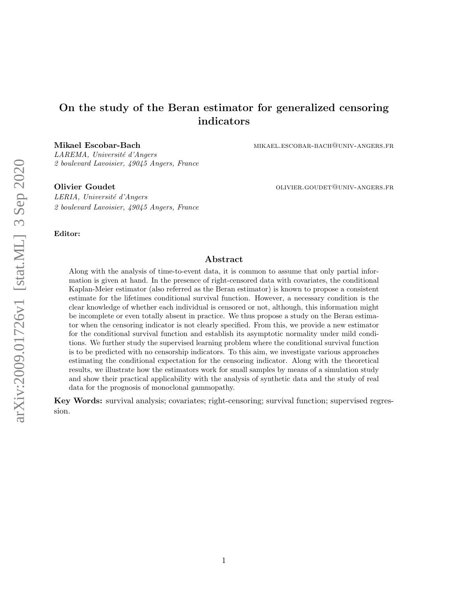# On the study of the Beran estimator for generalized censoring indicators

Mikael Escobar-Bach mikael.escobar-bach@univ-angers.fr

LAREMA, Université d'Angers 2 boulevard Lavoisier, 49045 Angers, France

Olivier Goudet **outcome of the COLIVIER** GOUDET CONVERT GOUDET OUNIV-ANGERS.FR

LERIA, Université d'Angers 2 boulevard Lavoisier, 49045 Angers, France

Editor:

## Abstract

Along with the analysis of time-to-event data, it is common to assume that only partial information is given at hand. In the presence of right-censored data with covariates, the conditional Kaplan-Meier estimator (also referred as the Beran estimator) is known to propose a consistent estimate for the lifetimes conditional survival function. However, a necessary condition is the clear knowledge of whether each individual is censored or not, although, this information might be incomplete or even totally absent in practice. We thus propose a study on the Beran estimator when the censoring indicator is not clearly specified. From this, we provide a new estimator for the conditional survival function and establish its asymptotic normality under mild conditions. We further study the supervised learning problem where the conditional survival function is to be predicted with no censorship indicators. To this aim, we investigate various approaches estimating the conditional expectation for the censoring indicator. Along with the theoretical results, we illustrate how the estimators work for small samples by means of a simulation study and show their practical applicability with the analysis of synthetic data and the study of real data for the prognosis of monoclonal gammopathy.

Key Words: survival analysis; covariates; right-censoring; survival function; supervised regression.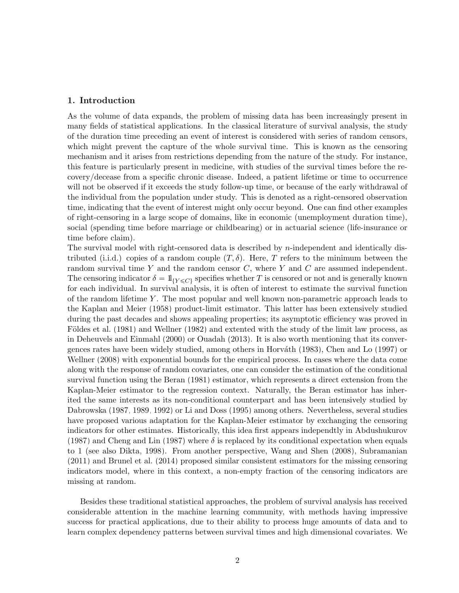## 1. Introduction

As the volume of data expands, the problem of missing data has been increasingly present in many fields of statistical applications. In the classical literature of survival analysis, the study of the duration time preceding an event of interest is considered with series of random censors, which might prevent the capture of the whole survival time. This is known as the censoring mechanism and it arises from restrictions depending from the nature of the study. For instance, this feature is particularly present in medicine, with studies of the survival times before the recovery/decease from a specific chronic disease. Indeed, a patient lifetime or time to occurrence will not be observed if it exceeds the study follow-up time, or because of the early withdrawal of the individual from the population under study. This is denoted as a right-censored observation time, indicating that the event of interest might only occur beyond. One can find other examples of right-censoring in a large scope of domains, like in economic (unemployment duration time), social (spending time before marriage or childbearing) or in actuarial science (life-insurance or time before claim).

The survival model with right-censored data is described by  $n$ -independent and identically distributed (i.i.d.) copies of a random couple  $(T, \delta)$ . Here, T refers to the minimum between the random survival time Y and the random censor  $C$ , where Y and  $C$  are assumed independent. The censoring indicator  $\delta = 1\!\!1_{\{Y \leq C\}}$  specifies whether T is censored or not and is generally known for each individual. In survival analysis, it is often of interest to estimate the survival function of the random lifetime Y . The most popular and well known non-parametric approach leads to the [Kaplan and Meier \(1958\)](#page-27-0) product-limit estimator. This latter has been extensively studied during the past decades and shows appealing properties; its asymptotic efficiency was proved in Földes et al. (1981) and [Wellner \(1982\)](#page-28-0) and extented with the study of the limit law process, as in [Deheuvels and Einmahl \(2000\)](#page-26-1) or [Ouadah \(2013\)](#page-28-1). It is also worth mentioning that its conver-gences rates have been widely studied, among others in Horváth (1983), [Chen and Lo \(1997\)](#page-25-0) or [Wellner \(2008\)](#page-28-2) with exponential bounds for the empirical process. In cases where the data come along with the response of random covariates, one can consider the estimation of the conditional survival function using the [Beran \(1981\)](#page-25-1) estimator, which represents a direct extension from the Kaplan-Meier estimator to the regression context. Naturally, the Beran estimator has inherited the same interests as its non-conditional counterpart and has been intensively studied by [Dabrowska \(1987,](#page-25-2) [1989,](#page-25-3) [1992\)](#page-25-4) or [Li and Doss \(1995\)](#page-27-1) among others. Nevertheless, several studies have proposed various adaptation for the Kaplan-Meier estimator by exchanging the censoring indicators for other estimates. Historically, this idea first appears independtly in [Abdushukurov](#page-25-5) [\(1987\)](#page-25-5) and [Cheng and Lin \(1987\)](#page-25-6) where  $\delta$  is replaced by its conditional expectation when equals to 1 (see also [Dikta, 1998\)](#page-26-3). From another perspective, [Wang and Shen \(2008\)](#page-28-3), [Subramanian](#page-28-4) [\(2011\)](#page-28-4) and [Brunel et al. \(2014\)](#page-25-7) proposed similar consistent estimators for the missing censoring indicators model, where in this context, a non-empty fraction of the censoring indicators are missing at random.

Besides these traditional statistical approaches, the problem of survival analysis has received considerable attention in the machine learning community, with methods having impressive success for practical applications, due to their ability to process huge amounts of data and to learn complex dependency patterns between survival times and high dimensional covariates. We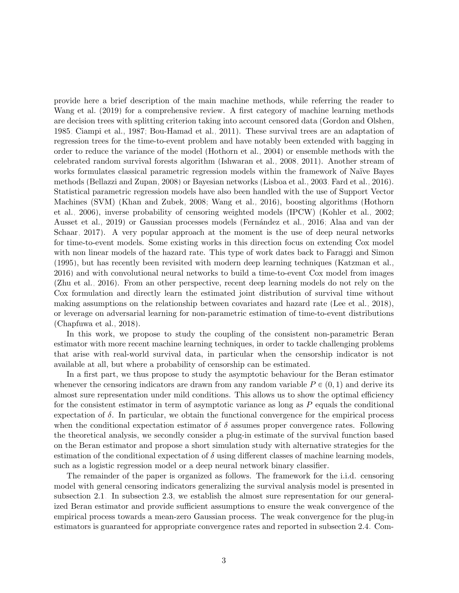provide here a brief description of the main machine methods, while referring the reader to [Wang et al. \(2019\)](#page-28-5) for a comprehensive review. A first category of machine learning methods are decision trees with splitting criterion taking into account censored data [\(Gordon and Olshen,](#page-26-4) [1985;](#page-26-4) [Ciampi et al., 1987;](#page-25-8) [Bou-Hamad et al., 2011\)](#page-25-9). These survival trees are an adaptation of regression trees for the time-to-event problem and have notably been extended with bagging in order to reduce the variance of the model [\(Hothorn et al., 2004\)](#page-26-5) or ensemble methods with the celebrated random survival forests algorithm [\(Ishwaran et al., 2008,](#page-27-2) [2011\)](#page-27-3). Another stream of works formulates classical parametric regression models within the framework of Naïve Bayes methods [\(Bellazzi and Zupan, 2008\)](#page-25-10) or Bayesian networks [\(Lisboa et al., 2003;](#page-27-4) [Fard et al., 2016\)](#page-26-6). Statistical parametric regression models have also been handled with the use of Support Vector Machines (SVM) [\(Khan and Zubek, 2008;](#page-27-5) [Wang et al., 2016\)](#page-28-6), boosting algorithms [\(Hothorn](#page-26-7) [et al., 2006\)](#page-26-7), inverse probability of censoring weighted models (IPCW) [\(Kohler et al., 2002;](#page-27-6) [Ausset et al., 2019\)](#page-25-11) or Gaussian processes models (Fernández et al., 2016; [Alaa and van der](#page-25-12) [Schaar, 2017\)](#page-25-12). A very popular approach at the moment is the use of deep neural networks for time-to-event models. Some existing works in this direction focus on extending Cox model with non linear models of the hazard rate. This type of work dates back to [Faraggi and Simon](#page-26-9) [\(1995\)](#page-26-9), but has recently been revisited with modern deep learning techniques [\(Katzman et al.,](#page-27-7) [2016\)](#page-27-7) and with convolutional neural networks to build a time-to-event Cox model from images [\(Zhu et al., 2016\)](#page-29-0). From an other perspective, recent deep learning models do not rely on the Cox formulation and directly learn the estimated joint distribution of survival time without making assumptions on the relationship between covariates and hazard rate [\(Lee et al., 2018\)](#page-27-8), or leverage on adversarial learning for non-parametric estimation of time-to-event distributions [\(Chapfuwa et al., 2018\)](#page-25-13).

In this work, we propose to study the coupling of the consistent non-parametric Beran estimator with more recent machine learning techniques, in order to tackle challenging problems that arise with real-world survival data, in particular when the censorship indicator is not available at all, but where a probability of censorship can be estimated.

In a first part, we thus propose to study the asymptotic behaviour for the Beran estimator whenever the censoring indicators are drawn from any random variable  $P \in (0, 1)$  and derive its almost sure representation under mild conditions. This allows us to show the optimal efficiency for the consistent estimator in term of asymptotic variance as long as P equals the conditional expectation of  $\delta$ . In particular, we obtain the functional convergence for the empirical process when the conditional expectation estimator of  $\delta$  assumes proper convergence rates. Following the theoretical analysis, we secondly consider a plug-in estimate of the survival function based on the Beran estimator and propose a short simulation study with alternative strategies for the estimation of the conditional expectation of  $\delta$  using different classes of machine learning models, such as a logistic regression model or a deep neural network binary classifier.

The remainder of the paper is organized as follows. The framework for the i.i.d. censoring model with general censoring indicators generalizing the survival analysis model is presented in subsection [2.1.](#page-3-0) In subsection [2.3,](#page-4-0) we establish the almost sure representation for our generalized Beran estimator and provide sufficient assumptions to ensure the weak convergence of the empirical process towards a mean-zero Gaussian process. The weak convergence for the plug-in estimators is guaranteed for appropriate convergence rates and reported in subsection [2.4.](#page-7-0) Com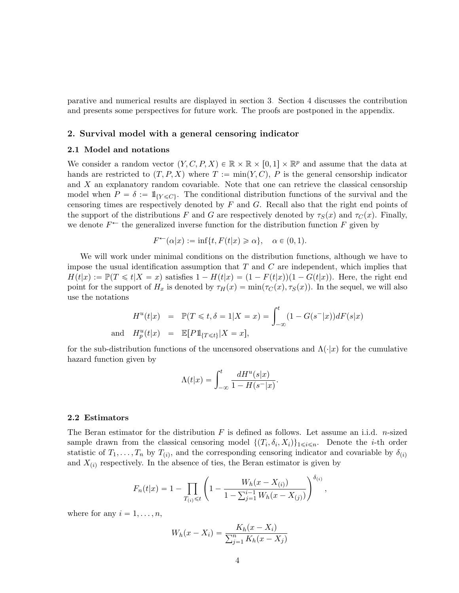parative and numerical results are displayed in section [3.](#page-8-0) Section [4](#page-17-0) discusses the contribution and presents some perspectives for future work. The proofs are postponed in the appendix.

## 2. Survival model with a general censoring indicator

#### <span id="page-3-0"></span>2.1 Model and notations

We consider a random vector  $(Y, C, P, X) \in \mathbb{R} \times \mathbb{R} \times [0, 1] \times \mathbb{R}^p$  and assume that the data at hands are restricted to  $(T, P, X)$  where  $T := \min(Y, C)$ , P is the general censorship indicator and  $X$  an explanatory random covariable. Note that one can retrieve the classical censorship model when  $P = \delta := 1\!\!\!\; |{W} \leq C$ . The conditional distribution functions of the survival and the censoring times are respectively denoted by  $F$  and  $G$ . Recall also that the right end points of the support of the distributions F and G are respectively denoted by  $\tau_S(x)$  and  $\tau_C(x)$ . Finally, we denote  $F^{\leftarrow}$  the generalized inverse function for the distribution function F given by

$$
F^{\leftarrow}(\alpha|x) := \inf\{t, F(t|x) \geq \alpha\}, \quad \alpha \in (0, 1).
$$

We will work under minimal conditions on the distribution functions, although we have to impose the usual identification assumption that  $T$  and  $C$  are independent, which implies that  $H(t|x) := \mathbb{P}(T \leq t | X = x)$  satisfies  $1 - H(t|x) = (1 - F(t|x))(1 - G(t|x))$ . Here, the right end point for the support of  $H_x$  is denoted by  $\tau_H(x) = \min(\tau_C(x), \tau_S(x))$ . In the sequel, we will also use the notations

$$
H^{u}(t|x) = \mathbb{P}(T \leq t, \delta = 1 | X = x) = \int_{-\infty}^{t} (1 - G(s^{-}|x))dF(s|x)
$$
  
and 
$$
H_{p}^{u}(t|x) = \mathbb{E}[P1_{\{T \leq t\}} | X = x],
$$

for the sub-distribution functions of the uncensored observations and  $\Lambda(\cdot|x)$  for the cumulative hazard function given by

$$
\Lambda(t|x) = \int_{-\infty}^{t} \frac{dH^{u}(s|x)}{1 - H(s^{-}|x)}.
$$

#### 2.2 Estimators

The Beran estimator for the distribution  $F$  is defined as follows. Let assume an i.i.d. *n*-sized sample drawn from the classical censoring model  $\{(T_i, \delta_i, X_i)\}_{1 \leq i \leq n}$ . Denote the *i*-th order statistic of  $T_1, \ldots, T_n$  by  $T_{(i)}$ , and the corresponding censoring indicator and covariable by  $\delta_{(i)}$ and  $X_{(i)}$  respectively. In the absence of ties, the Beran estimator is given by

$$
F_n(t|x) = 1 - \prod_{T_{(i)} \leq t} \left( 1 - \frac{W_h(x - X_{(i)})}{1 - \sum_{j=1}^{i-1} W_h(x - X_{(j)})} \right)^{\delta_{(i)}},
$$

where for any  $i = 1, \ldots, n$ ,

$$
W_h(x - X_i) = \frac{K_h(x - X_i)}{\sum_{j=1}^n K_h(x - X_j)}
$$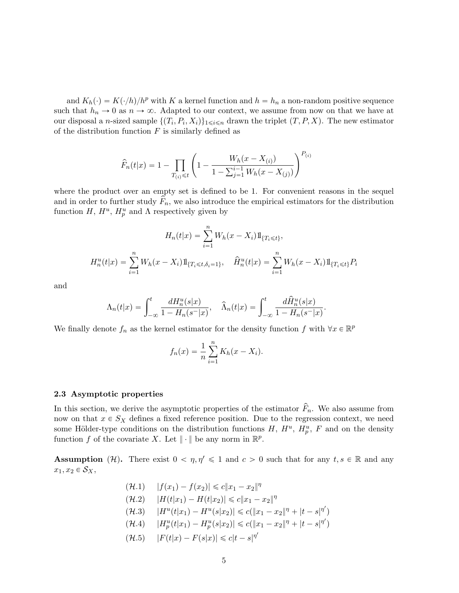and  $K_h(\cdot) = K(\cdot/h)/h^p$  with K a kernel function and  $h = h_n$  a non-random positive sequence such that  $h_n \to 0$  as  $n \to \infty$ . Adapted to our context, we assume from now on that we have at our disposal a *n*-sized sample  $\{(T_i, P_i, X_i)\}_{1 \leq i \leq n}$  drawn the triplet  $(T, P, X)$ . The new estimator of the distribution function  $F$  is similarly defined as

$$
\widehat{F}_n(t|x) = 1 - \prod_{T_{(i)} \leq t} \left( 1 - \frac{W_h(x - X_{(i)})}{1 - \sum_{j=1}^{i-1} W_h(x - X_{(j)})} \right)^{P_{(i)}}
$$

where the product over an empty set is defined to be 1. For convenient reasons in the sequel and in order to further study  $\hat{F}_n$ , we also introduce the empirical estimators for the distribution function  $H, H^u, H^u_p$  and  $\Lambda$  respectively given by

$$
H_n(t|x) = \sum_{i=1}^n W_h(x - X_i) 1\!\!1_{\{T_i \le t\}},
$$
  

$$
H_n^u(t|x) = \sum_{i=1}^n W_h(x - X_i) 1\!\!1_{\{T_i \le t, \delta_i = 1\}}, \quad \hat{H}_n^u(t|x) = \sum_{i=1}^n W_h(x - X_i) 1\!\!1_{\{T_i \le t\}} P_i
$$

and

$$
\Lambda_n(t|x) = \int_{-\infty}^t \frac{dH_n^u(s|x)}{1 - H_n(s^-|x)}, \quad \widehat{\Lambda}_n(t|x) = \int_{-\infty}^t \frac{d\widehat{H}_n^u(s|x)}{1 - H_n(s^-|x)}.
$$

We finally denote  $f_n$  as the kernel estimator for the density function f with  $\forall x \in \mathbb{R}^p$ 

$$
f_n(x) = \frac{1}{n} \sum_{i=1}^n K_h(x - X_i).
$$

#### <span id="page-4-0"></span>2.3 Asymptotic properties

In this section, we derive the asymptotic properties of the estimator  $F_n$ . We also assume from now on that  $x \in S_X$  defines a fixed reference position. Due to the regression context, we need some Hölder-type conditions on the distribution functions  $H, H^u, H_p^u, F$  and on the density function f of the covariate X. Let  $\|\cdot\|$  be any norm in  $\mathbb{R}^p$ .

**Assumption** (H). There exist  $0 < \eta, \eta' \leq 1$  and  $c > 0$  such that for any  $t, s \in \mathbb{R}$  and any  $x_1, x_2 \in \mathcal{S}_X$ ,

> $(\mathcal{H}.1)$   $|f(x_1) - f(x_2)| \leq c \|x_1 - x_2\|^{\eta}$  $(\mathcal{H}.2)$   $|H(t|x_1) - H(t|x_2)| \leq c \|x_1 - x_2\|^{\eta}$  $\mathcal{H}(H.3)$   $|H^{u}(t|x_1) - H^{u}(s|x_2)| \leq c(||x_1 - x_2||^{\eta} + |t - s|^{\eta'})$  $\mathcal{H}(H.4)$   $|H_p^u(t|x_1) - H_p^u(s|x_2)| \leq c(||x_1 - x_2||^{\eta} + |t - s|^{\eta'})$  $(\mathcal{H}.5)$   $|F(t|x) - F(s|x)| \leq c|t - s|^{\eta'}$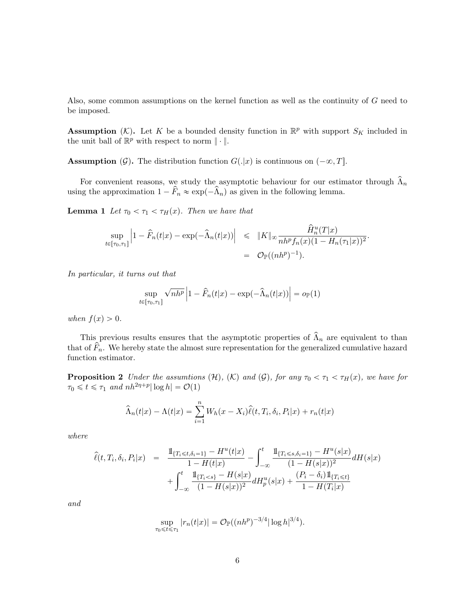Also, some common assumptions on the kernel function as well as the continuity of G need to be imposed.

**Assumption** (K). Let K be a bounded density function in  $\mathbb{R}^p$  with support  $S_K$  included in the unit ball of  $\mathbb{R}^p$  with respect to norm  $\|\cdot\|$ .

**Assumption**  $(G)$ . The distribution function  $G(.|x)$  is continuous on  $(-\infty, T]$ .

For convenient reasons, we study the asymptotic behaviour for our estimator through  $\widehat{\Lambda}_n$ using the approximation  $1 - \hat{F}_n \approx \exp(-\hat{\Lambda}_n)$  as given in the following lemma.

<span id="page-5-1"></span>**Lemma 1** Let  $\tau_0 < \tau_1 < \tau_H(x)$ . Then we have that

$$
\sup_{t \in [\tau_0, \tau_1]} \left| 1 - \hat{F}_n(t|x) - \exp(-\hat{\Lambda}_n(t|x)) \right| \leq \|K\|_{\infty} \frac{\hat{H}_n^u(T|x)}{nh^p f_n(x) (1 - H_n(\tau_1|x))^2}.
$$
  
=  $\mathcal{O}_{\mathbb{P}}((nh^p)^{-1}).$ 

In particular, it turns out that

$$
\sup_{t \in [\tau_0, \tau_1]} \sqrt{n h^p} \left| 1 - \widehat{F}_n(t | x) - \exp(-\widehat{\Lambda}_n(t | x)) \right| = o_{\mathbb{P}}(1)
$$

when  $f(x) > 0$ .

This previous results ensures that the asymptotic properties of  $\hat{\Lambda}_n$  are equivalent to than that of  $\widehat{F}_n$ . We hereby state the almost sure representation for the generalized cumulative hazard function estimator.

<span id="page-5-0"></span>**Proposition 2** Under the assumtions  $(H)$ ,  $(K)$  and  $(G)$ , for any  $\tau_0 < \tau_1 < \tau_H(x)$ , we have for  $\tau_0 \leq t \leq \tau_1$  and  $nh^{2\eta+p}|\log h| = \mathcal{O}(1)$ 

$$
\widehat{\Lambda}_n(t|x) - \Lambda(t|x) = \sum_{i=1}^n W_h(x - X_i)\widehat{\ell}(t, T_i, \delta_i, P_i|x) + r_n(t|x)
$$

where

$$
\hat{\ell}(t, T_i, \delta_i, P_i | x) = \frac{\mathbb{1}_{\{T_i \leq t, \delta_i = 1\}} - H^u(t | x)}{1 - H(t | x)} - \int_{-\infty}^t \frac{\mathbb{1}_{\{T_i \leq s, \delta_i = 1\}} - H^u(s | x)}{(1 - H(s | x))^2} dH(s | x) \n+ \int_{-\infty}^t \frac{\mathbb{1}_{\{T_i < s\}} - H(s | x)}{(1 - H(s | x))^2} dH^u_p(s | x) + \frac{(P_i - \delta_i) \mathbb{1}_{\{T_i \leq t\}}}{1 - H(T_i | x)}
$$

and

$$
\sup_{\tau_0 \leq t \leq \tau_1} |r_n(t|x)| = \mathcal{O}_{\mathbb{P}}((nh^p)^{-3/4} |\log h|^{3/4}).
$$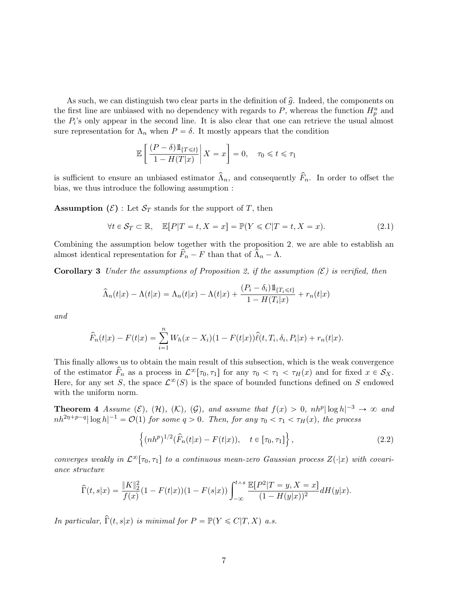As such, we can distinguish two clear parts in the definition of  $\hat{g}$ . Indeed, the components on the first line are unbiased with no dependency with regards to  $P$ , whereas the function  $H_p^u$  and the  $P_i$ 's only appear in the second line. It is also clear that one can retrieve the usual almost sure representation for  $\Lambda_n$  when  $P = \delta$ . It mostly appears that the condition

$$
\mathbb{E}\left[\left.\frac{(P-\delta)1\!\!1_{\{T\leq t\}}}{1-H(T|x)}\right|X=x\right]=0, \quad \tau_0\leq t\leq \tau_1
$$

is sufficient to ensure an unbiased estimator  $\hat{\Lambda}_n$ , and consequently  $\hat{F}_n$ . In order to offset the bias, we thus introduce the following assumption :

**Assumption** ( $\mathcal{E}$ ) : Let  $\mathcal{S}_T$  stands for the support of T, then

<span id="page-6-2"></span><span id="page-6-1"></span>
$$
\forall t \in \mathcal{S}_T \subset \mathbb{R}, \quad \mathbb{E}[P|T=t, X=x] = \mathbb{P}(Y \leq C|T=t, X=x). \tag{2.1}
$$

Combining the assumption below together with the proposition [2,](#page-5-0) we are able to establish an almost identical representation for  $F_n - F$  than that of  $\Lambda_n - \Lambda$ .

**Corollary 3** Under the assumptions of Proposition [2,](#page-5-0) if the assumption  $(\mathcal{E})$  is verified, then

$$
\widehat{\Lambda}_n(t|x) - \Lambda(t|x) = \Lambda_n(t|x) - \Lambda(t|x) + \frac{(P_i - \delta_i)1\!\mathrm{l}_{\{T_i \le t\}}}{1 - H(T_i|x)} + r_n(t|x)
$$

and

$$
\widehat{F}_n(t|x) - F(t|x) = \sum_{i=1}^n W_h(x - X_i)(1 - F(t|x))\widehat{\ell}(t, T_i, \delta_i, P_i|x) + r_n(t|x).
$$

This finally allows us to obtain the main result of this subsection, which is the weak convergence of the estimator  $F_n$  as a process in  $\mathcal{L}^{\infty}[\tau_0, \tau_1]$  for any  $\tau_0 < \tau_1 < \tau_H(x)$  and for fixed  $x \in \mathcal{S}_X$ . Here, for any set S, the space  $\mathcal{L}^{\infty}(S)$  is the space of bounded functions defined on S endowed with the uniform norm.

**Theorem 4** Assume  $(\mathcal{E})$ ,  $(\mathcal{H})$ ,  $(\mathcal{K})$ ,  $(\mathcal{G})$ , and assume that  $f(x) > 0$ ,  $nh^p |\log h|^{-3} \to \infty$  and  $nh^{2\eta+p-q}|\log h|^{-1} = \mathcal{O}(1)$  for some  $q > 0$ . Then, for any  $\tau_0 < \tau_1 < \tau_H(x)$ , the process

<span id="page-6-3"></span><span id="page-6-0"></span>
$$
\{(nh^p)^{1/2}(\hat{F}_n(t|x) - F(t|x)), \quad t \in [\tau_0, \tau_1]\},
$$
\n(2.2)

converges weakly in  $\mathcal{L}^{\infty}[\tau_0, \tau_1]$  to a continuous mean-zero Gaussian process  $Z(\cdot|x)$  with covariance structure

$$
\widehat{\Gamma}(t,s|x) = \frac{\|K\|_2^2}{f(x)}(1 - F(t|x))(1 - F(s|x)) \int_{-\infty}^{t \wedge s} \frac{\mathbb{E}[P^2|T=y, X=x]}{(1 - H(y|x))^2} dH(y|x).
$$

In particular,  $\widehat{\Gamma}(t, s|x)$  is minimal for  $P = \mathbb{P}(Y \leq C|T, X)$  a.s.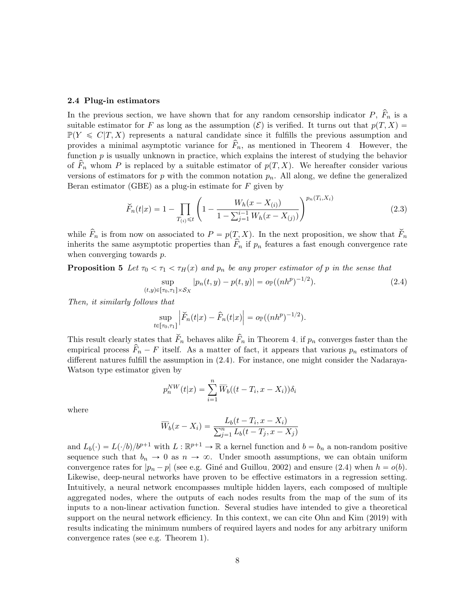#### <span id="page-7-0"></span>2.4 Plug-in estimators

In the previous section, we have shown that for any random censorship indicator  $P, F_n$  is a suitable estimator for F as long as the assumption  $(\mathcal{E})$  is verified. It turns out that  $p(T, X) =$  $\mathbb{P}(Y \leq C|T, X)$  represents a natural candidate since it fulfills the previous assumption and provides a minimal asymptotic variance for  $F_n$ , as mentioned in Theorem [4.](#page-6-0) However, the function  $p$  is usually unknown in practice, which explains the interest of studying the behavior of  $\widehat{F}_n$  whom P is replaced by a suitable estimator of  $p(T, X)$ . We hereafter consider various versions of estimators for p with the common notation  $p_n$ . All along, we define the generalized Beran estimator (GBE) as a plug-in estimate for  $F$  given by

<span id="page-7-2"></span>
$$
\widetilde{F}_n(t|x) = 1 - \prod_{T_{(i)} \leq t} \left( 1 - \frac{W_h(x - X_{(i)})}{1 - \sum_{j=1}^{i-1} W_h(x - X_{(j)})} \right)^{p_n(T_i, X_i)}
$$
(2.3)

while  $\hat{F}_n$  is from now on associated to  $P = p(T, X)$ . In the next proposition, we show that  $\check{F}_n$ inherits the same asymptotic properties than  $\hat{F}_n$  if  $p_n$  features a fast enough convergence rate when converging towards  $p$ .

**Proposition 5** Let  $\tau_0 < \tau_1 < \tau_H(x)$  and  $p_n$  be any proper estimator of p in the sense that

<span id="page-7-3"></span><span id="page-7-1"></span>
$$
\sup_{(t,y)\in[\tau_0,\tau_1]\times\mathcal{S}_X} |p_n(t,y) - p(t,y)| = o_{\mathbb{P}}((nh^p)^{-1/2}).
$$
\n(2.4)

Then, it similarly follows that

$$
\sup_{t\in[\tau_0,\tau_1]}\left|\breve{F}_n(t|x)-\widehat{F}_n(t|x)\right| = o_{\mathbb{P}}((nh^p)^{-1/2}).
$$

This result clearly states that  $\check{F}_n$  behaves alike  $\hat{F}_n$  in Theorem [4,](#page-6-0) if  $p_n$  converges faster than the empirical process  $F_n - F$  itself. As a matter of fact, it appears that various  $p_n$  estimators of different natures fulfill the assumption in [\(2.4\)](#page-7-1). For instance, one might consider the Nadaraya-Watson type estimator given by

$$
p_n^{NW}(t|x) = \sum_{i=1}^n \overline{W}_b((t - T_i, x - X_i))\delta_i
$$

where

$$
\overline{W}_b(x - X_i) = \frac{L_b(t - T_i, x - X_i)}{\sum_{j=1}^n L_b(t - T_j, x - X_j)}
$$

and  $L_b(\cdot) = L(\cdot/b)/b^{p+1}$  with  $L : \mathbb{R}^{p+1} \to \mathbb{R}$  a kernel function and  $b = b_n$  a non-random positive sequence such that  $b_n \to 0$  as  $n \to \infty$ . Under smooth assumptions, we can obtain uniform convergence rates for  $|p_n - p|$  (see e.g. Giné and Guillou, 2002) and ensure [\(2.4\)](#page-7-1) when  $h = o(b)$ . Likewise, deep-neural networks have proven to be effective estimators in a regression setting. Intuitively, a neural network encompasses multiple hidden layers, each composed of multiple aggregated nodes, where the outputs of each nodes results from the map of the sum of its inputs to a non-linear activation function. Several studies have intended to give a theoretical support on the neural network efficiency. In this context, we can cite [Ohn and Kim \(2019\)](#page-27-9) with results indicating the minimum numbers of required layers and nodes for any arbitrary uniform convergence rates (see e.g. Theorem 1).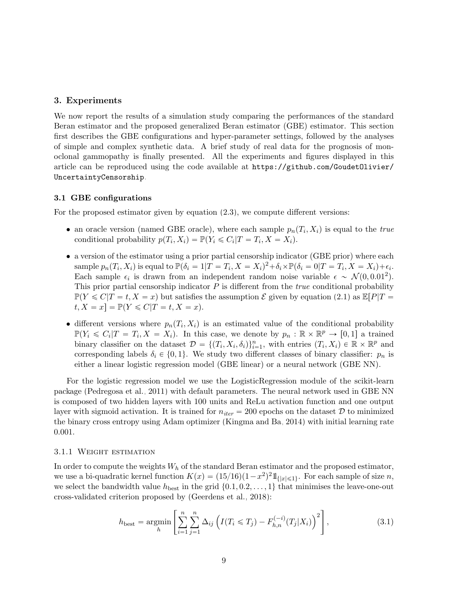## <span id="page-8-0"></span>3. Experiments

We now report the results of a simulation study comparing the performances of the standard Beran estimator and the proposed generalized Beran estimator (GBE) estimator. This section first describes the GBE configurations and hyper-parameter settings, followed by the analyses of simple and complex synthetic data. A brief study of real data for the prognosis of monoclonal gammopathy is finally presented. All the experiments and figures displayed in this article can be reproduced using the code available at [https://github.com/GoudetOlivier/](https://github.com/GoudetOlivier/UncertaintyCensorship) [UncertaintyCensorship](https://github.com/GoudetOlivier/UncertaintyCensorship).

## 3.1 GBE configurations

For the proposed estimator given by equation [\(2.3\)](#page-7-2), we compute different versions:

- an oracle version (named GBE oracle), where each sample  $p_n(T_i, X_i)$  is equal to the true conditional probability  $p(T_i, X_i) = \mathbb{P}(Y_i \leq C_i | T = T_i, X = X_i)$ .
- a version of the estimator using a prior partial censorship indicator (GBE prior) where each sample  $p_n(T_i, X_i)$  is equal to  $\mathbb{P}(\delta_i = 1|T = T_i, X = X_i)^2 + \delta_i \times \mathbb{P}(\delta_i = 0|T = T_i, X = X_i) + \epsilon_i$ . Each sample  $\epsilon_i$  is drawn from an independent random noise variable  $\epsilon \sim \mathcal{N}(0, 0.01^2)$ . This prior partial censorship indicator  $P$  is different from the *true* conditional probability  $\mathbb{P}(Y \leq C | T = t, X = x)$  but satisfies the assumption  $\mathcal{E}$  given by equation [\(2.1\)](#page-6-1) as  $\mathbb{E}[P|T =$  $t, X = x$  =  $\mathbb{P}(Y \leq C | T = t, X = x)$ .
- different versions where  $p_n(T_i, X_i)$  is an estimated value of the conditional probability  $\mathbb{P}(Y_i \leq C_i | T = T_i, X = X_i)$ . In this case, we denote by  $p_n : \mathbb{R} \times \mathbb{R}^p \to [0, 1]$  a trained binary classifier on the dataset  $\mathcal{D} = \{(T_i, X_i, \delta_i)\}_{i=1}^n$ , with entries  $(T_i, X_i) \in \mathbb{R} \times \mathbb{R}^p$  and corresponding labels  $\delta_i \in \{0, 1\}$ . We study two different classes of binary classifier:  $p_n$  is either a linear logistic regression model (GBE linear) or a neural network (GBE NN).

For the logistic regression model we use the LogisticRegression module of the scikit-learn package [\(Pedregosa et al., 2011\)](#page-28-7) with default parameters. The neural network used in GBE NN is composed of two hidden layers with 100 units and ReLu activation function and one output layer with sigmoid activation. It is trained for  $n_{iter} = 200$  epochs on the dataset D to minimized the binary cross entropy using Adam optimizer [\(Kingma and Ba, 2014\)](#page-27-10) with initial learning rate 0.001.

#### <span id="page-8-1"></span>3.1.1 Weight estimation

<span id="page-8-2"></span>In order to compute the weights  $W_h$  of the standard Beran estimator and the proposed estimator, we use a bi-quadratic kernel function  $K(x) = (15/16)(1-x^2)^2 1_{\{|x| \le 1\}}$ . For each sample of size n, we select the bandwidth value  $h_{\text{best}}$  in the grid  $\{0.1, 0.2, \ldots, 1\}$  that minimises the leave-one-out cross-validated criterion proposed by [\(Geerdens et al., 2018\)](#page-26-11):

$$
h_{\text{best}} = \underset{h}{\text{argmin}} \left[ \sum_{i=1}^{n} \sum_{j=1}^{n} \Delta_{ij} \left( I(T_i \leq T_j) - F_{h,n}^{(-i)}(T_j | X_i) \right)^2 \right],\tag{3.1}
$$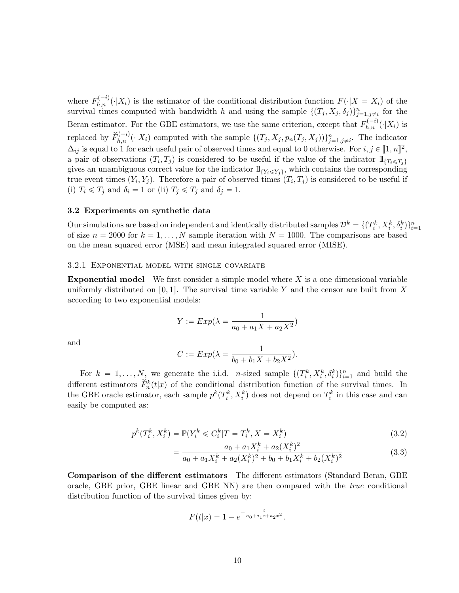where  $F_{h,n}^{(-i)}(\cdot|X_i)$  is the estimator of the conditional distribution function  $F(\cdot|X = X_i)$  of the survival times computed with bandwidth h and using the sample  $\{(T_j, X_j, \delta_j)\}_{j=1, j\neq i}^n$  for the Beran estimator. For the GBE estimators, we use the same criterion, except that  $F_{h,n}^{(-i)}(\cdot|X_i)$  is replaced by  $\widetilde{F}_{h,n}^{(-i)}(\cdot|X_i)$  computed with the sample  $\{(T_j, X_j, p_n(T_j, X_j))\}_{j=1,j\neq i}^n$ . The indicator  $\Delta_{ij}$  is equal to 1 for each useful pair of observed times and equal to 0 otherwise. For  $i, j \in [1, n]^2$ , a pair of observations  $(T_i, T_j)$  is considered to be useful if the value of the indicator  $1\!\!1_{\{T_i\leq T_j\}}$ gives an unambiguous correct value for the indicator  $1\!\!1_{\{Y_i\leq Y_j\}}$ , which contains the corresponding true event times  $(Y_i, Y_j)$ . Therefore a pair of observed times  $(T_i, T_j)$  is considered to be useful if (i)  $T_i \leq T_j$  and  $\delta_i = 1$  or (ii)  $T_j \leq T_j$  and  $\delta_j = 1$ .

#### 3.2 Experiments on synthetic data

Our simulations are based on independent and identically distributed samples  $\mathcal{D}^k = \{(T_i^k, X_i^k, \delta_i^k)\}_{i=1}^n$ of size  $n = 2000$  for  $k = 1, ..., N$  sample iteration with  $N = 1000$ . The comparisons are based on the mean squared error (MSE) and mean integrated squared error (MISE).

#### 3.2.1 Exponential model with single covariate

**Exponential model** We first consider a simple model where  $X$  is a one dimensional variable uniformly distributed on [0, 1]. The survival time variable Y and the censor are built from X according to two exponential models:

$$
Y := Exp(\lambda = \frac{1}{a_0 + a_1 X + a_2 X^2})
$$

and

$$
C := Exp(\lambda = \frac{1}{b_0 + b_1 X + b_2 X^2}).
$$

For  $k = 1, ..., N$ , we generate the i.i.d. *n*-sized sample  $\{(T_i^k, X_i^k, \delta_i^k)\}_{i=1}^n$  and build the different estimators  $\check{F}_n^k(t|x)$  of the conditional distribution function of the survival times. In the GBE oracle estimator, each sample  $p^k(T_i^k, X_i^k)$  does not depend on  $T_i^k$  in this case and can easily be computed as:

$$
p^{k}(T_{i}^{k}, X_{i}^{k}) = \mathbb{P}(Y_{i}^{k} \leq C_{i}^{k}|T = T_{i}^{k}, X = X_{i}^{k})
$$
\n(3.2)

$$
= \frac{a_0 + a_1 X_i^k + a_2 (X_i^k)^2}{a_0 + a_1 X_i^k + a_2 (X_i^k)^2 + b_0 + b_1 X_i^k + b_2 (X_i^k)^2}
$$
(3.3)

Comparison of the different estimators The different estimators (Standard Beran, GBE oracle, GBE prior, GBE linear and GBE NN) are then compared with the true conditional distribution function of the survival times given by:

$$
F(t|x) = 1 - e^{-\frac{t}{a_0 + a_1 x + a_2 x^2}}.
$$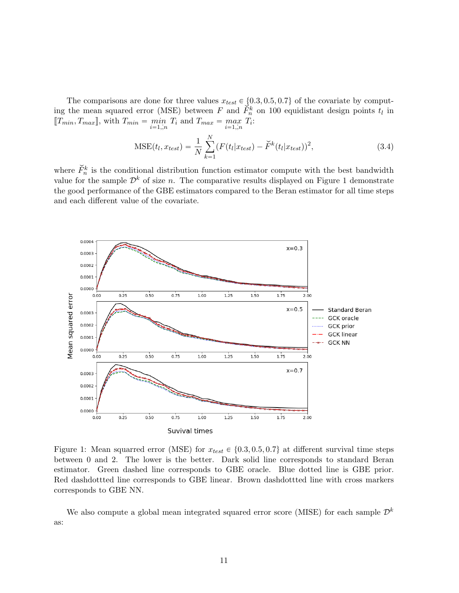The comparisons are done for three values  $x_{test} \in \{0.3, 0.5, 0.7\}$  of the covariate by computing the mean squared error (MSE) between  $F$  and  $\vec{F}_n^k$  on 100 equidistant design points  $t_l$  in  $[[T_{min}, T_{max}]]$ , with  $T_{min} = \min_{i=1, n} T_i$  and  $T_{max} = \max_{i=1, n} T_i$ :

$$
\text{MSE}(t_l, x_{test}) = \frac{1}{N} \sum_{k=1}^{N} (F(t_l | x_{test}) - \breve{F}^k(t_l | x_{test}))^2,
$$
\n(3.4)

where  $\check{F}_n^k$  is the conditional distribution function estimator compute with the best bandwidth value for the sample  $\mathcal{D}^k$  of size n. The comparative results displayed on Figure [1](#page-10-0) demonstrate the good performance of the GBE estimators compared to the Beran estimator for all time steps and each different value of the covariate.

<span id="page-10-0"></span>

Figure 1: Mean squarred error (MSE) for  $x_{test} \in \{0.3, 0.5, 0.7\}$  at different survival time steps between 0 and 2. The lower is the better. Dark solid line corresponds to standard Beran estimator. Green dashed line corresponds to GBE oracle. Blue dotted line is GBE prior. Red dashdottted line corresponds to GBE linear. Brown dashdottted line with cross markers corresponds to GBE NN.

We also compute a global mean integrated squared error score (MISE) for each sample  $\mathcal{D}^k$ as: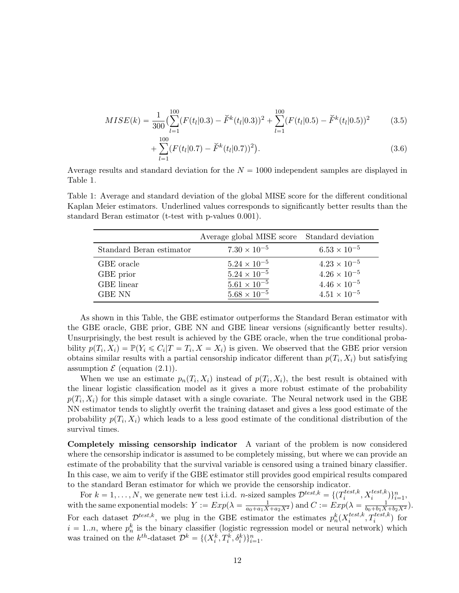$$
MISE(k) = \frac{1}{300} \left( \sum_{l=1}^{100} (F(t_l|0.3) - \breve{F}^k(t_l|0.3))^2 + \sum_{l=1}^{100} (F(t_l|0.5) - \breve{F}^k(t_l|0.5))^2 \right) \tag{3.5}
$$

$$
+\sum_{l=1}^{100} (F(t_l|0.7) - \check{F}^k(t_l|0.7))^2).
$$
\n(3.6)

Average results and standard deviation for the  $N = 1000$  independent samples are displayed in Table [1.](#page-11-0)

<span id="page-11-0"></span>Table 1: Average and standard deviation of the global MISE score for the different conditional Kaplan Meier estimators. Underlined values corresponds to significantly better results than the standard Beran estimator (t-test with p-values 0.001).

|                          | Average global MISE score Standard deviation |                       |
|--------------------------|----------------------------------------------|-----------------------|
| Standard Beran estimator | $7.30 \times 10^{-5}$                        | $6.53 \times 10^{-5}$ |
| GBE oracle               | $5.24 \times 10^{-5}$                        | $4.23 \times 10^{-5}$ |
| GBE prior                | $5.24 \times 10^{-5}$                        | $4.26 \times 10^{-5}$ |
| GBE linear               | $5.61 \times 10^{-5}$                        | $4.46 \times 10^{-5}$ |
| <b>GBE NN</b>            | $5.68 \times 10^{-5}$                        | $4.51 \times 10^{-5}$ |

As shown in this Table, the GBE estimator outperforms the Standard Beran estimator with the GBE oracle, GBE prior, GBE NN and GBE linear versions (significantly better results). Unsurprisingly, the best result is achieved by the GBE oracle, when the true conditional probability  $p(T_i, X_i) = \mathbb{P}(Y_i \leq C_i | T = T_i, X = X_i)$  is given. We observed that the GBE prior version obtains similar results with a partial censorship indicator different than  $p(T_i, X_i)$  but satisfying assumption  $\mathcal E$  (equation [\(2.1\)](#page-6-1)).

When we use an estimate  $p_n(T_i, X_i)$  instead of  $p(T_i, X_i)$ , the best result is obtained with the linear logistic classification model as it gives a more robust estimate of the probability  $p(T_i, X_i)$  for this simple dataset with a single covariate. The Neural network used in the GBE NN estimator tends to slightly overfit the training dataset and gives a less good estimate of the probability  $p(T_i, X_i)$  which leads to a less good estimate of the conditional distribution of the survival times.

Completely missing censorship indicator A variant of the problem is now considered where the censorship indicator is assumed to be completely missing, but where we can provide an estimate of the probability that the survival variable is censored using a trained binary classifier. In this case, we aim to verify if the GBE estimator still provides good empirical results compared to the standard Beran estimator for which we provide the censorship indicator.

For  $k = 1, ..., N$ , we generate new test i.i.d. *n*-sized samples  $\mathcal{D}^{test,k} = \{T_i^{test,k}\}$  $\{x_i^{test,k}, X_i^{test,k})\}_{i=1}^n$ with the same exponential models:  $Y := Exp(\lambda = \frac{1}{a_0 + a_1 X + a_2 X^2})$  and  $C := Exp(\lambda = \frac{1}{b_0 + b_1 X + b_2 X^2})$ . For each dataset  $\mathcal{D}^{test,k}$ , we plug in the GBE estimator the estimates  $p_n^k(X_i^{test,k})$  $i^{test,k}, T_i^{test,k})$  for  $i = 1..n$ , where  $p_n^k$  is the binary classifier (logistic regresssion model or neural network) which was trained on the  $k^{th}$ -dataset  $\mathcal{D}^k = \{(X_i^k, T_i^k, \delta_i^k)\}_{i=1}^n$ .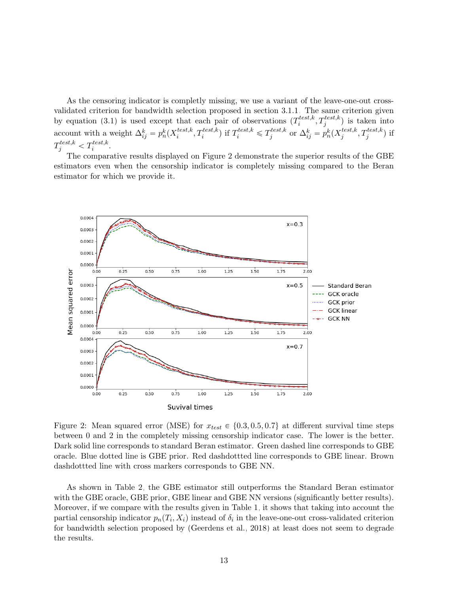As the censoring indicator is completly missing, we use a variant of the leave-one-out crossvalidated criterion for bandwidth selection proposed in section [3.1.1.](#page-8-1) The same criterion given by equation [\(3.1\)](#page-8-2) is used except that each pair of observations  $(T_i^{test,k})$  $t_i^{test,k}, T_j^{test,k})$  is taken into account with a weight  $\Delta_{ij}^k = p_n^k(X_i^{test,k})$  $\{t^{est,k}_i, T^{test,k}_i\}$  if  $T^{test,k}_i \leq T^{test,k}_j$ <sup>test,k</sup> or  $\Delta_{ij}^k = p_n^k(X_j^{test,k})$  $j^{test,k}, T_j^{test,k})$  if  $T^{test,k}_j < T^{test,k}_i$  $i^{{test},\kappa}.$ 

The comparative results displayed on Figure [2](#page-12-0) demonstrate the superior results of the GBE estimators even when the censorship indicator is completely missing compared to the Beran estimator for which we provide it.

<span id="page-12-0"></span>

Figure 2: Mean squared error (MSE) for  $x_{test} \in \{0.3, 0.5, 0.7\}$  at different survival time steps between 0 and 2 in the completely missing censorship indicator case. The lower is the better. Dark solid line corresponds to standard Beran estimator. Green dashed line corresponds to GBE oracle. Blue dotted line is GBE prior. Red dashdottted line corresponds to GBE linear. Brown dashdottted line with cross markers corresponds to GBE NN.

As shown in Table [2,](#page-13-0) the GBE estimator still outperforms the Standard Beran estimator with the GBE oracle, GBE prior, GBE linear and GBE NN versions (significantly better results). Moreover, if we compare with the results given in Table [1,](#page-11-0) it shows that taking into account the partial censorship indicator  $p_n(T_i, X_i)$  instead of  $\delta_i$  in the leave-one-out cross-validated criterion for bandwidth selection proposed by [\(Geerdens et al., 2018\)](#page-26-11) at least does not seem to degrade the results.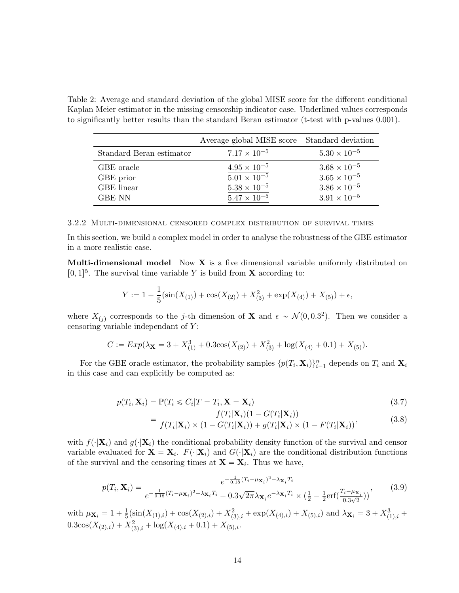<span id="page-13-0"></span>Table 2: Average and standard deviation of the global MISE score for the different conditional Kaplan Meier estimator in the missing censorship indicator case. Underlined values corresponds to significantly better results than the standard Beran estimator (t-test with p-values 0.001).

|                          | Average global MISE score Standard deviation |                       |
|--------------------------|----------------------------------------------|-----------------------|
| Standard Beran estimator | $7.17 \times 10^{-5}$                        | $5.30 \times 10^{-5}$ |
| GBE oracle               | $4.95 \times 10^{-5}$                        | $3.68 \times 10^{-5}$ |
| GBE prior                | $5.01 \times 10^{-5}$                        | $3.65 \times 10^{-5}$ |
| GBE linear               | $5.38 \times 10^{-5}$                        | $3.86 \times 10^{-5}$ |
| <b>GBE NN</b>            | $5.47 \times 10^{-5}$                        | $3.91 \times 10^{-5}$ |

3.2.2 Multi-dimensional censored complex distribution of survival times

In this section, we build a complex model in order to analyse the robustness of the GBE estimator in a more realistic case.

Multi-dimensional model Now  $X$  is a five dimensional variable uniformly distributed on  $[0, 1]^5$ . The survival time variable Y is build from **X** according to:

$$
Y := 1 + \frac{1}{5} (\sin(X_{(1)}) + \cos(X_{(2)}) + X_{(3)}^2 + \exp(X_{(4)}) + X_{(5)}) + \epsilon,
$$

where  $X_{(j)}$  corresponds to the j-th dimension of **X** and  $\epsilon \sim \mathcal{N}(0, 0.3^2)$ . Then we consider a censoring variable independant of Y :

$$
C := Exp(\lambda_{\mathbf{X}} = 3 + X_{(1)}^{3} + 0.3\cos(X_{(2)}) + X_{(3)}^{2} + \log(X_{(4)} + 0.1) + X_{(5)}).
$$

For the GBE oracle estimator, the probability samples  $\{p(T_i, \mathbf{X}_i)\}_{i=1}^n$  depends on  $T_i$  and  $\mathbf{X}_i$ in this case and can explicitly be computed as:

$$
p(T_i, \mathbf{X}_i) = \mathbb{P}(T_i \leq C_i | T = T_i, \mathbf{X} = \mathbf{X}_i)
$$
\n(3.7)

$$
= \frac{f(T_i|\mathbf{X}_i)(1 - G(T_i|\mathbf{X}_i))}{f(T_i|\mathbf{X}_i) \times (1 - G(T_i|\mathbf{X}_i)) + g(T_i|\mathbf{X}_i) \times (1 - F(T_i|\mathbf{X}_i))},
$$
(3.8)

with  $f(\cdot|\mathbf{X}_i)$  and  $g(\cdot|\mathbf{X}_i)$  the conditional probability density function of the survival and censor variable evaluated for  $\mathbf{X} = \mathbf{X}_i$ .  $F(\cdot|\mathbf{X}_i)$  and  $G(\cdot|\mathbf{X}_i)$  are the conditional distribution functions of the survival and the censoring times at  $\mathbf{X} = \mathbf{X}_i$ . Thus we have,

$$
p(T_i, \mathbf{X}_i) = \frac{e^{-\frac{1}{0.18}(T_i - \mu_{\mathbf{X}_i})^2 - \lambda_{\mathbf{X}_i} T_i}}{e^{-\frac{1}{0.18}(T_i - \mu_{\mathbf{X}_i})^2 - \lambda_{\mathbf{X}_i} T_i} + 0.3\sqrt{2\pi}\lambda_{\mathbf{X}_i} e^{-\lambda_{\mathbf{X}_i} T_i} \times (\frac{1}{2} - \frac{1}{2}\text{erf}(\frac{T_i - \mu_{\mathbf{X}_i}}{0.3\sqrt{2}}))},
$$
(3.9)

with  $\mu_{\mathbf{X}_i} = 1 + \frac{1}{5}$  $\frac{1}{5}(\sin(X_{(1),i}) + \cos(X_{(2),i}) + X_{(3),i}^2 + \exp(X_{(4),i}) + X_{(5),i})$  and  $\lambda_{\mathbf{X}_i} = 3 + X_{(1),i}^3 +$  $0.3\cos(X_{(2),i}) + X_{(3),i}^2 + \log(X_{(4),i} + 0.1) + X_{(5),i}.$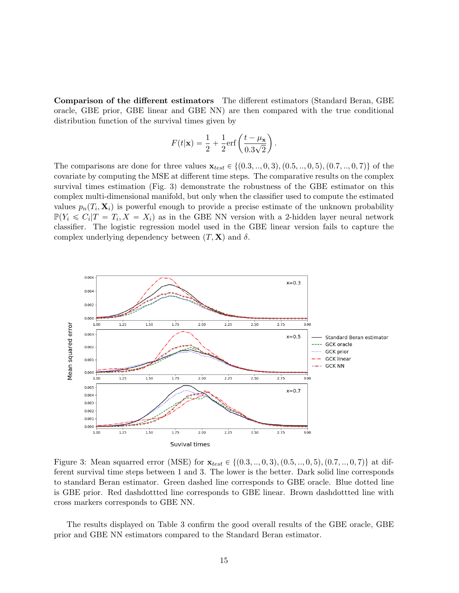Comparison of the different estimators The different estimators (Standard Beran, GBE oracle, GBE prior, GBE linear and GBE NN) are then compared with the true conditional distribution function of the survival times given by

$$
F(t|\mathbf{x}) = \frac{1}{2} + \frac{1}{2}\text{erf}\left(\frac{t - \mu_{\mathbf{x}}}{0.3\sqrt{2}}\right).
$$

The comparisons are done for three values  $\mathbf{x}_{test} \in \{(0.3, ..., 0, 3), (0.5, ..., 0, 5), (0.7, ..., 0, 7)\}$  of the covariate by computing the MSE at different time steps. The comparative results on the complex survival times estimation (Fig. [3\)](#page-14-0) demonstrate the robustness of the GBE estimator on this complex multi-dimensional manifold, but only when the classifier used to compute the estimated values  $p_n(T_i, \mathbf{X}_i)$  is powerful enough to provide a precise estimate of the unknown probability  $\mathbb{P}(Y_i \leq C_i | T = T_i, X = X_i)$  as in the GBE NN version with a 2-hidden layer neural network classifier. The logistic regression model used in the GBE linear version fails to capture the complex underlying dependency between  $(T, X)$  and  $\delta$ .

<span id="page-14-0"></span>![](_page_14_Figure_3.jpeg)

Figure 3: Mean squarred error (MSE) for  $\mathbf{x}_{test} \in \{(0.3, ..., 0, 3), (0.5, ..., 0, 5), (0.7, ..., 0, 7)\}\$ at different survival time steps between 1 and 3. The lower is the better. Dark solid line corresponds to standard Beran estimator. Green dashed line corresponds to GBE oracle. Blue dotted line is GBE prior. Red dashdottted line corresponds to GBE linear. Brown dashdottted line with cross markers corresponds to GBE NN.

The results displayed on Table [3](#page-15-0) confirm the good overall results of the GBE oracle, GBE prior and GBE NN estimators compared to the Standard Beran estimator.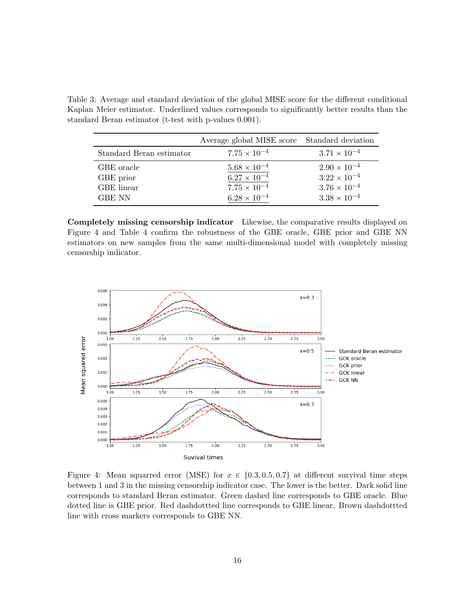<span id="page-15-0"></span>Table 3: Average and standard deviation of the global MISE score for the different conditional Kaplan Meier estimator. Underlined values corresponds to significantly better results than the standard Beran estimator (t-test with p-values 0.001).

|                          | Average global MISE score Standard deviation |                       |
|--------------------------|----------------------------------------------|-----------------------|
| Standard Beran estimator | $7.75 \times 10^{-4}$                        | $3.71 \times 10^{-4}$ |
| GBE oracle               | $5.68 \times 10^{-4}$                        | $2.90 \times 10^{-4}$ |
| GBE prior                | $6.27 \times 10^{-4}$                        | $3.22 \times 10^{-4}$ |
| GBE linear               | $7.75 \times 10^{-4}$                        | $3.76 \times 10^{-4}$ |
| <b>GBE NN</b>            | $6.28 \times 10^{-4}$                        | $3.38 \times 10^{-4}$ |

Completely missing censorship indicator Likewise, the comparative results displayed on Figure [4](#page-15-1) and Table [4](#page-16-0) confirm the robustness of the GBE oracle, GBE prior and GBE NN estimators on new samples from the same multi-dimensional model with completely missing censorship indicator.

<span id="page-15-1"></span>![](_page_15_Figure_3.jpeg)

Figure 4: Mean squarred error (MSE) for  $x \in \{0.3, 0.5, 0.7\}$  at different survival time steps between 1 and 3 in the missing censorship indicator case. The lower is the better. Dark solid line corresponds to standard Beran estimator. Green dashed line corresponds to GBE oracle. Blue dotted line is GBE prior. Red dashdottted line corresponds to GBE linear. Brown dashdottted line with cross markers corresponds to GBE NN.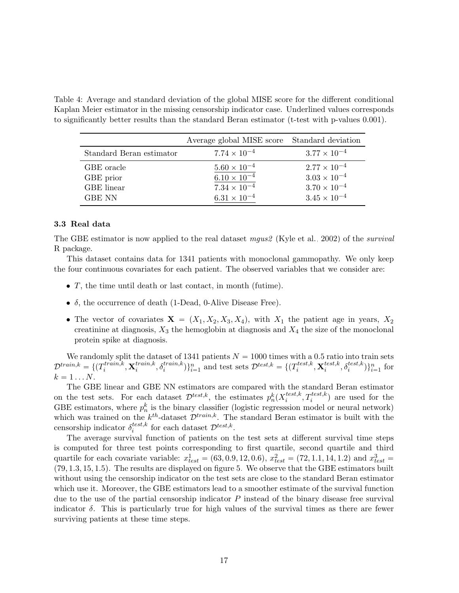<span id="page-16-0"></span>Table 4: Average and standard deviation of the global MISE score for the different conditional Kaplan Meier estimator in the missing censorship indicator case. Underlined values corresponds to significantly better results than the standard Beran estimator (t-test with p-values 0.001).

|                          | Average global MISE score Standard deviation |                       |
|--------------------------|----------------------------------------------|-----------------------|
| Standard Beran estimator | $7.74 \times 10^{-4}$                        | $3.77 \times 10^{-4}$ |
| GBE oracle               | $5.60 \times 10^{-4}$                        | $2.77 \times 10^{-4}$ |
| GBE prior                | $6.10 \times 10^{-4}$                        | $3.03 \times 10^{-4}$ |
| GBE linear               | $7.34 \times 10^{-4}$                        | $3.70 \times 10^{-4}$ |
| <b>GBE NN</b>            | $6.31 \times 10^{-4}$                        | $3.45 \times 10^{-4}$ |

#### 3.3 Real data

The GBE estimator is now applied to the real dataset mgus  $\ell$  [\(Kyle et al., 2002\)](#page-27-11) of the survival R package.

This dataset contains data for 1341 patients with monoclonal gammopathy. We only keep the four continuous covariates for each patient. The observed variables that we consider are:

- $T$ , the time until death or last contact, in month (futime).
- $\delta$ , the occurrence of death (1-Dead, 0-Alive Disease Free).
- The vector of covariates  $X = (X_1, X_2, X_3, X_4)$ , with  $X_1$  the patient age in years,  $X_2$ creatinine at diagnosis,  $X_3$  the hemoglobin at diagnosis and  $X_4$  the size of the monoclonal protein spike at diagnosis.

We randomly split the dataset of 1341 patients  $N = 1000$  times with a 0.5 ratio into train sets  $\mathcal{D}^{train,k} = \{ (T^{train,k}_i$  $x_i^{train,k}, \textbf{X}_i^{train,k}$  $\{i^{train,k}, \delta_i^{train,k}\}\}_{i=1}^n$  and test sets  $\mathcal{D}^{test,k} = \{(T_i^{test,k})\}$  $i^{test,k}, \textbf{X}^{test,k}_i$  $\{i}^{test,k}, \delta_i^{test,k})\}_{i=1}^n$  for  $k = 1 \dots N$ .

The GBE linear and GBE NN estimators are compared with the standard Beran estimator on the test sets. For each dataset  $\mathcal{D}^{test,k}$ , the estimates  $p_n^k(X_i^{test,k})$  $i^{test,k}, T_i^{test,k})$  are used for the GBE estimators, where  $p_n^k$  is the binary classifier (logistic regresssion model or neural network) which was trained on the  $k^{th}$ -dataset  $\mathcal{D}^{train,k}$ . The standard Beran estimator is built with the censorship indicator  $\delta_i^{test,k}$  $i^{test,k}$  for each dataset  $\mathcal{D}^{test,k}$ .

The average survival function of patients on the test sets at different survival time steps is computed for three test points corresponding to first quartile, second quartile and third quartile for each covariate variable:  $x_{test}^1 = (63, 0.9, 12, 0.6), x_{test}^2 = (72, 1.1, 14, 1.2)$  and  $x_{test}^3 =$  $(79, 1.3, 15, 1.5)$ . The results are displayed on figure [5.](#page-17-1) We observe that the GBE estimators built without using the censorship indicator on the test sets are close to the standard Beran estimator which use it. Moreover, the GBE estimators lead to a smoother estimate of the survival function due to the use of the partial censorship indicator  $P$  instead of the binary disease free survival indicator  $\delta$ . This is particularly true for high values of the survival times as there are fewer surviving patients at these time steps.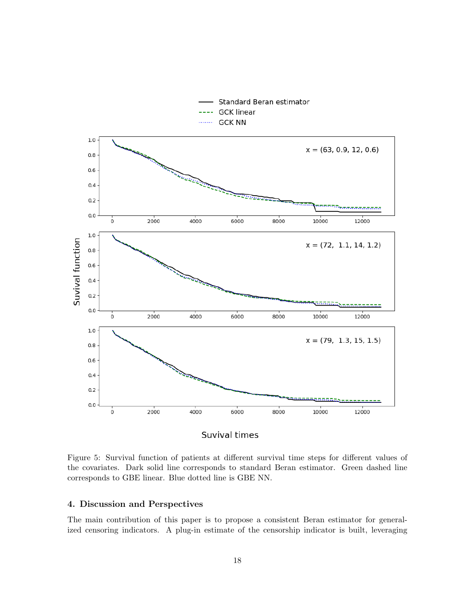<span id="page-17-1"></span>![](_page_17_Figure_0.jpeg)

Figure 5: Survival function of patients at different survival time steps for different values of the covariates. Dark solid line corresponds to standard Beran estimator. Green dashed line corresponds to GBE linear. Blue dotted line is GBE NN.

## <span id="page-17-0"></span>4. Discussion and Perspectives

The main contribution of this paper is to propose a consistent Beran estimator for generalized censoring indicators. A plug-in estimate of the censorship indicator is built, leveraging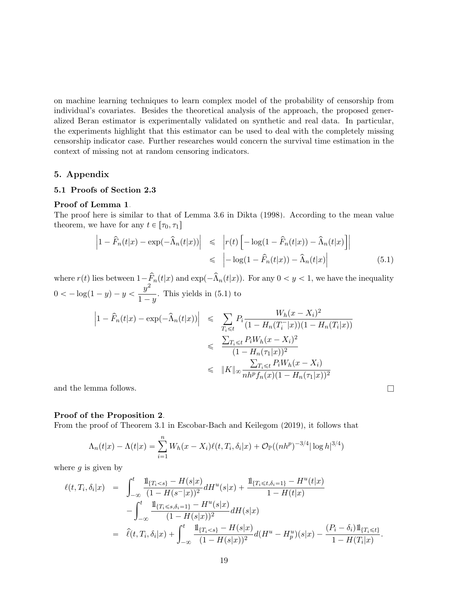on machine learning techniques to learn complex model of the probability of censorship from individual's covariates. Besides the theoretical analysis of the approach, the proposed generalized Beran estimator is experimentally validated on synthetic and real data. In particular, the experiments highlight that this estimator can be used to deal with the completely missing censorship indicator case. Further researches would concern the survival time estimation in the context of missing not at random censoring indicators.

## 5. Appendix

## 5.1 Proofs of Section [2.3](#page-4-0)

#### Proof of Lemma [1](#page-5-1).

The proof here is similar to that of Lemma 3.6 in [Dikta \(1998\)](#page-26-3). According to the mean value theorem, we have for any  $t \in [\tau_0, \tau_1]$ " ıˇ

<span id="page-18-0"></span>
$$
\left|1 - \widehat{F}_n(t|x) - \exp(-\widehat{\Lambda}_n(t|x))\right| \leq \left|r(t)\left[-\log(1 - \widehat{F}_n(t|x)) - \widehat{\Lambda}_n(t|x)\right]\right|
$$
  

$$
\leq \left|-\log(1 - \widehat{F}_n(t|x)) - \widehat{\Lambda}_n(t|x)\right|
$$
(5.1)

where  $r(t)$  lies between  $1-\hat{F}_n(t|x)$  and  $\exp(-\hat{\Lambda}_n(t|x))$ . For any  $0 < y < 1$ , we have the inequality  $0 < -\log(1 - y) - y < \frac{y^2}{1}$  $\frac{9}{1-y}$ . This yields in [\(5.1\)](#page-18-0) to

$$
\left|1 - \hat{F}_n(t|x) - \exp(-\hat{\Lambda}_n(t|x))\right| \leq \sum_{T_i \leq t} P_i \frac{W_h(x - X_i)^2}{(1 - H_n(T_i^-|x))(1 - H_n(T_i|x))}
$$
  

$$
\leq \frac{\sum_{T_i \leq t} P_i W_h(x - X_i)^2}{(1 - H_n(\tau_1|x))^2}
$$
  

$$
\leq \|K\|_{\infty} \frac{\sum_{T_i \leq t} P_i W_h(x - X_i)}{nh^p f_n(x)(1 - H_n(\tau_1|x))^2}
$$

and the lemma follows.  $\Box$ 

#### Proof of the Proposition [2](#page-5-0).

From the proof of Theorem 3.1 in [Escobar-Bach and Keilegom \(2019\)](#page-26-12), it follows that

$$
\Lambda_n(t|x) - \Lambda(t|x) = \sum_{i=1}^n W_h(x - X_i)\ell(t, T_i, \delta_i|x) + \mathcal{O}_{\mathbb{P}}((nh^p)^{-3/4}|\log h|^{3/4})
$$

where  $q$  is given by

$$
\ell(t, T_i, \delta_i | x) = \int_{-\infty}^t \frac{\mathbb{1}_{\{T_i < s\}} - H(s | x)}{(1 - H(s^- | x))^2} dH^u(s | x) + \frac{\mathbb{1}_{\{T_i \le t, \delta_i = 1\}} - H^u(t | x)}{1 - H(t | x)} \n- \int_{-\infty}^t \frac{\mathbb{1}_{\{T_i \le s, \delta_i = 1\}} - H^u(s | x)}{(1 - H(s | x))^2} dH(s | x) \n= \hat{\ell}(t, T_i, \delta_i | x) + \int_{-\infty}^t \frac{\mathbb{1}_{\{T_i < s\}} - H(s | x)}{(1 - H(s | x))^2} d(H^u - H^u_p)(s | x) - \frac{(P_i - \delta_i) \mathbb{1}_{\{T_i \le t\}}}{1 - H(T_i | x)}.
$$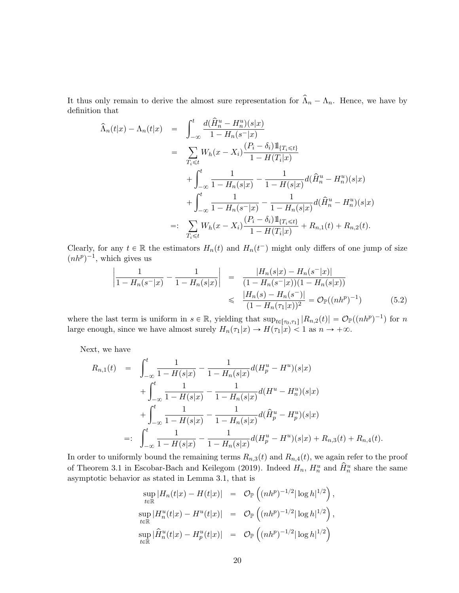It thus only remain to derive the almost sure representation for  $\hat{\Lambda}_n - \Lambda_n$ . Hence, we have by definition that

$$
\hat{\Lambda}_n(t|x) - \Lambda_n(t|x) = \int_{-\infty}^t \frac{d(\hat{H}_n^u - H_n^u)(s|x)}{1 - H_n(s^{-}|x)} \n= \sum_{T_i \le t} W_h(x - X_i) \frac{(P_i - \delta_i)1\!\!1_{\{T_i \le t\}}}{1 - H(T_i|x)} \n+ \int_{-\infty}^t \frac{1}{1 - H_n(s|x)} - \frac{1}{1 - H(s|x)} d(\hat{H}_n^u - H_n^u)(s|x) \n+ \int_{-\infty}^t \frac{1}{1 - H_n(s^{-}|x)} - \frac{1}{1 - H_n(s|x)} d(\hat{H}_n^u - H_n^u)(s|x) \n=: \sum_{T_i \le t} W_h(x - X_i) \frac{(P_i - \delta_i)1\!\!1_{\{T_i \le t\}}}{1 - H(T_i|x)} + R_{n,1}(t) + R_{n,2}(t).
$$

Clearly, for any  $t \in \mathbb{R}$  the estimators  $H_n(t)$  and  $H_n(t^-)$  might only differs of one jump of size  $(nh^p)^{-1}$ , which gives us

$$
\left| \frac{1}{1 - H_n(s^-|x)} - \frac{1}{1 - H_n(s|x)} \right| = \frac{|H_n(s|x) - H_n(s^-|x)|}{(1 - H_n(s^-|x))(1 - H_n(s|x))}
$$
  

$$
\leq \frac{|H_n(s) - H_n(s^-)|}{(1 - H_n(\tau_1|x))^2} = \mathcal{O}_{\mathbb{P}}((nh^p)^{-1})
$$
(5.2)

where the last term is uniform in  $s \in \mathbb{R}$ , yielding that  $\sup_{t \in [\tau_0, \tau_1]} |R_{n,2}(t)| = \mathcal{O}_{\mathbb{P}}((nh^p)^{-1})$  for n large enough, since we have almost surely  $H_n(\tau_1|x) \to H(\tau_1|x) < 1$  as  $n \to +\infty$ .

Next, we have

$$
R_{n,1}(t) = \int_{-\infty}^{t} \frac{1}{1 - H(s|x)} - \frac{1}{1 - H_n(s|x)} d(H_p^u - H^u)(s|x)
$$
  
+ 
$$
\int_{-\infty}^{t} \frac{1}{1 - H(s|x)} - \frac{1}{1 - H_n(s|x)} d(H^u - H_n^u)(s|x)
$$
  
+ 
$$
\int_{-\infty}^{t} \frac{1}{1 - H(s|x)} - \frac{1}{1 - H_n(s|x)} d(\hat{H}_p^u - H_p^u)(s|x)
$$
  
=: 
$$
\int_{-\infty}^{t} \frac{1}{1 - H(s|x)} - \frac{1}{1 - H_n(s|x)} d(H_p^u - H^u)(s|x) + R_{n,3}(t) + R_{n,4}(t).
$$

In order to uniformly bound the remaining terms  $R_{n,3}(t)$  and  $R_{n,4}(t)$ , we again refer to the proof of Theorem 3.1 in [Escobar-Bach and Keilegom \(2019\)](#page-26-12). Indeed  $H_n$ ,  $H_n^u$  and  $\hat{H}_n^u$  share the same asymptotic behavior as stated in Lemma 3.1, that is

$$
\sup_{t \in \mathbb{R}} |H_n(t|x) - H(t|x)| = \mathcal{O}_{\mathbb{P}}\left((nh^p)^{-1/2} |\log h|^{1/2}\right),
$$
  
\n
$$
\sup_{t \in \mathbb{R}} |H_n^u(t|x) - H^u(t|x)| = \mathcal{O}_{\mathbb{P}}\left((nh^p)^{-1/2} |\log h|^{1/2}\right),
$$
  
\n
$$
\sup_{t \in \mathbb{R}} |\hat{H}_n^u(t|x) - H_p^u(t|x)| = \mathcal{O}_{\mathbb{P}}\left((nh^p)^{-1/2} |\log h|^{1/2}\right)
$$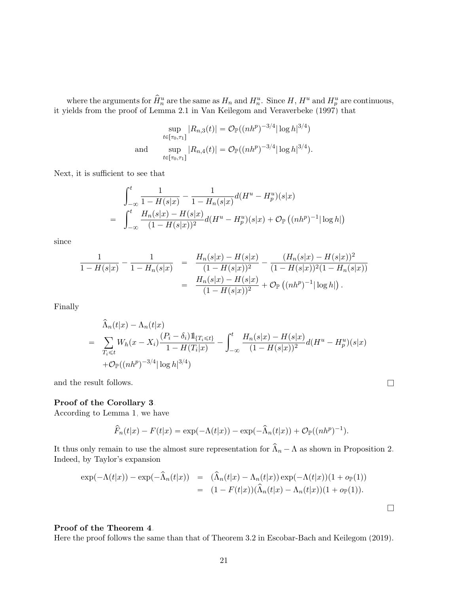where the arguments for  $\hat{H}_n^u$  are the same as  $H_n$  and  $H_n^u$ . Since  $H$ ,  $H^u$  and  $H_p^u$  are continuous, it yields from the proof of Lemma 2.1 in [Van Keilegom and Veraverbeke \(1997\)](#page-28-8) that

$$
\sup_{t \in [\tau_0, \tau_1]} |R_{n,3}(t)| = \mathcal{O}_{\mathbb{P}}((nh^p)^{-3/4} |\log h|^{3/4})
$$
  
and 
$$
\sup_{t \in [\tau_0, \tau_1]} |R_{n,4}(t)| = \mathcal{O}_{\mathbb{P}}((nh^p)^{-3/4} |\log h|^{3/4}).
$$

Next, it is sufficient to see that

$$
\int_{-\infty}^{t} \frac{1}{1 - H(s|x)} - \frac{1}{1 - H_n(s|x)} d(H^u - H_p^u)(s|x)
$$
  
= 
$$
\int_{-\infty}^{t} \frac{H_n(s|x) - H(s|x)}{(1 - H(s|x))^2} d(H^u - H_p^u)(s|x) + \mathcal{O}_{\mathbb{P}}((nh^p)^{-1}|\log h|)
$$

since

$$
\frac{1}{1 - H(s|x)} - \frac{1}{1 - H_n(s|x)} = \frac{H_n(s|x) - H(s|x)}{(1 - H(s|x))^2} - \frac{(H_n(s|x) - H(s|x))^2}{(1 - H(s|x))^2(1 - H_n(s|x))}
$$

$$
= \frac{H_n(s|x) - H(s|x)}{(1 - H(s|x))^2} + \mathcal{O}_{\mathbb{P}}\left((nh^p)^{-1}|\log h|\right).
$$

Finally

$$
\hat{\Lambda}_n(t|x) - \Lambda_n(t|x) \n= \sum_{T_i \le t} W_h(x - X_i) \frac{(P_i - \delta_i) 1\!\!1_{\{T_i \le t\}}}{1 - H(T_i|x)} - \int_{-\infty}^t \frac{H_n(s|x) - H(s|x)}{(1 - H(s|x))^2} d(H^u - H^u_p)(s|x) \n+ \mathcal{O}_{\mathbb{P}}((nh^p)^{-3/4} |\log h|^{3/4})
$$

and the result follows.  $\hfill \square$ 

## Proof of the Corollary [3](#page-6-2).

According to Lemma [1,](#page-5-1) we have

$$
\widehat{F}_n(t|x) - F(t|x) = \exp(-\Lambda(t|x)) - \exp(-\widehat{\Lambda}_n(t|x)) + \mathcal{O}_{\mathbb{P}}((nh^p)^{-1}).
$$

It thus only remain to use the almost sure representation for  $\widehat{\Lambda}_n - \Lambda$  as shown in Proposition [2.](#page-5-0) Indeed, by Taylor's expansion

$$
\exp(-\Lambda(t|x)) - \exp(-\widehat{\Lambda}_n(t|x)) = (\widehat{\Lambda}_n(t|x) - \Lambda_n(t|x))\exp(-\Lambda(t|x))(1 + o_{\mathbb{P}}(1))
$$
  
= 
$$
(1 - F(t|x))(\widehat{\Lambda}_n(t|x) - \Lambda_n(t|x))(1 + o_{\mathbb{P}}(1)).
$$

## Proof of the Theorem [4](#page-6-0).

Here the proof follows the same than that of Theorem 3.2 in [Escobar-Bach and Keilegom \(2019\)](#page-26-12).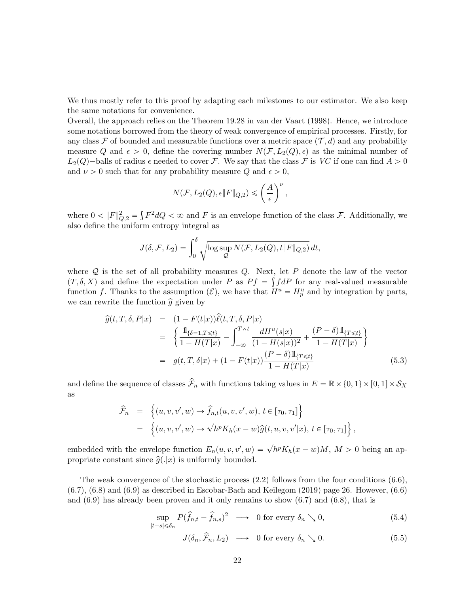We thus mostly refer to this proof by adapting each milestones to our estimator. We also keep the same notations for convenience.

Overall, the approach relies on the Theorem 19.28 in [van der Vaart \(1998\)](#page-28-9). Hence, we introduce some notations borrowed from the theory of weak convergence of empirical processes. Firstly, for any class F of bounded and measurable functions over a metric space  $(\mathcal{T}, d)$  and any probability measure Q and  $\epsilon > 0$ , define the covering number  $N(F, L_2(Q), \epsilon)$  as the minimal number of  $L_2(Q)$ -balls of radius  $\epsilon$  needed to cover F. We say that the class F is VC if one can find  $A > 0$ and  $\nu > 0$  such that for any probability measure Q and  $\epsilon > 0$ ,

$$
N(\mathcal{F}, L_2(Q), \epsilon \|F\|_{Q,2}) \leqslant \left(\frac{A}{\epsilon}\right)^{\nu},
$$

where  $0 < ||F||_{Q,2}^2 =$  $F^2dQ < \infty$  and F is an envelope function of the class F. Additionally, we also define the uniform entropy integral as

$$
J(\delta, \mathcal{F}, L_2) = \int_0^{\delta} \sqrt{\log \sup_{\mathcal{Q}} N(\mathcal{F}, L_2(Q), t \| F \|_{Q,2})} dt,
$$

where  $Q$  is the set of all probability measures  $Q$ . Next, let  $P$  denote the law of the vector  $(T, \delta, X)$  and define the expectation under P as  $P f = \int f dP$  for any real-valued measurable function f. Thanks to the assumption  $(\mathcal{E})$ , we have that  $H^u = H_p^u$  and by integration by parts, we can rewrite the function  $\hat{g}$  given by

<span id="page-21-1"></span>
$$
\begin{split}\n\widehat{g}(t,T,\delta,P|x) &= (1 - F(t|x))\widehat{\ell}(t,T,\delta,P|x) \\
&= \left\{ \frac{\mathbb{1}_{\{\delta=1,T\leq t\}}}{1 - H(T|x)} - \int_{-\infty}^{T \wedge t} \frac{dH^u(s|x)}{(1 - H(s|x))^2} + \frac{(P - \delta)\mathbb{1}_{\{T \leq t\}}}{1 - H(T|x)} \right\} \\
&= g(t,T,\delta|x) + (1 - F(t|x))\frac{(P - \delta)\mathbb{1}_{\{T \leq t\}}}{1 - H(T|x)}\n\end{split}
$$
\n(5.3)

and define the sequence of classes  $\hat{\mathcal{F}}_n$  with functions taking values in  $E = \mathbb{R} \times \{0, 1\} \times [0, 1] \times \mathcal{S}_X$ as !<br>. )

$$
\hat{\mathcal{F}}_n = \left\{ (u, v, v', w) \rightarrow \hat{f}_{n,t}(u, v, v', w), t \in [\tau_0, \tau_1] \right\}
$$
  
\n
$$
= \left\{ (u, v, v', w) \rightarrow \sqrt{h^p} K_h(x - w) \hat{g}(t, u, v, v'|x), t \in [\tau_0, \tau_1] \right\},
$$

embedded with the envelope function  $E_n(u, v, v', w) = \sqrt{h^p} K_h(x - w)M$ ,  $M > 0$  being an appropriate constant since  $\hat{g}(x|x)$  is uniformly bounded.

The weak convergence of the stochastic process [\(2.2\)](#page-6-3) follows from the four conditions (6.6),  $(6.7)$ ,  $(6.8)$  and  $(6.9)$  as described in Escobar-Bach and Keilegom  $(2019)$  page 26. However,  $(6.6)$ and (6.9) has already been proven and it only remains to show (6.7) and (6.8), that is

<span id="page-21-0"></span>
$$
\sup_{|t-s| \leq \delta_n} P(\hat{f}_{n,t} - \hat{f}_{n,s})^2 \longrightarrow 0 \text{ for every } \delta_n \searrow 0,
$$
\n(5.4)

$$
J(\delta_n, \hat{\mathcal{F}}_n, L_2) \longrightarrow 0 \text{ for every } \delta_n \searrow 0. \tag{5.5}
$$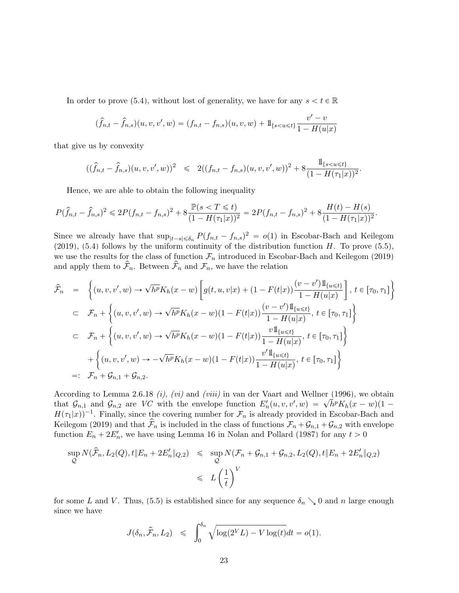In order to prove [\(5.4\)](#page-21-0), without lost of generality, we have for any  $s < t \in \mathbb{R}$ 

$$
(\hat{f}_{n,t} - \hat{f}_{n,s})(u,v,v',w) = (f_{n,t} - f_{n,s})(u,v,w) + 1_{\{s < u \le t\}} \frac{v' - v}{1 - H(u|x)}
$$

that give us by convexity

$$
((\hat{f}_{n,t} - \hat{f}_{n,s})(u,v,v',w))^2 \leq 2((f_{n,t} - f_{n,s})(u,v,v',w))^2 + 8\frac{1\{s < u \leq t\}}{(1 - H(\tau_1|x))^2}.
$$

Hence, we are able to obtain the following inequality

$$
P(\hat{f}_{n,t} - \hat{f}_{n,s})^2 \leq 2P(f_{n,t} - f_{n,s})^2 + 8\frac{\mathbb{P}(s < T \leq t)}{(1 - H(\tau_1|x))^2} = 2P(f_{n,t} - f_{n,s})^2 + 8\frac{H(t) - H(s)}{(1 - H(\tau_1|x))^2}.
$$

Since we already have that  $\sup_{|t-s| \le \delta_n} P(f_{n,t} - f_{n,s})^2 = o(1)$  in [Escobar-Bach and Keilegom](#page-26-12) [\(2019\)](#page-26-12), [\(5.4\)](#page-21-0) follows by the uniform continuity of the distribution function  $H$ . To prove [\(5.5\)](#page-21-0), we use the results for the class of function  $\mathcal{F}_n$  introduced in [Escobar-Bach and Keilegom \(2019\)](#page-26-12) and apply them to  $\hat{\mathcal{F}}_n$ . Between  $\hat{\mathcal{F}}_n$  and  $\mathcal{F}_n$ , we have the relation

$$
\hat{\mathcal{F}}_n = \left\{ (u, v, v', w) \to \sqrt{h^p} K_h(x - w) \left[ g(t, u, v|x) + (1 - F(t|x)) \frac{(v - v') \mathbb{1}_{\{u \le t\}}}{1 - H(u|x)} \right], t \in [\tau_0, \tau_1] \right\}
$$
\n
$$
\subset \mathcal{F}_n + \left\{ (u, v, v', w) \to \sqrt{h^p} K_h(x - w) (1 - F(t|x)) \frac{(v - v') \mathbb{1}_{\{u \le t\}}}{1 - H(u|x)}, t \in [\tau_0, \tau_1] \right\}
$$
\n
$$
\subset \mathcal{F}_n + \left\{ (u, v, v', w) \to \sqrt{h^p} K_h(x - w) (1 - F(t|x)) \frac{v \mathbb{1}_{\{u \le t\}}}{1 - H(u|x)}, t \in [\tau_0, \tau_1] \right\}
$$
\n
$$
+ \left\{ (u, v, v', w) \to -\sqrt{h^p} K_h(x - w) (1 - F(t|x)) \frac{v' \mathbb{1}_{\{u \le t\}}}{1 - H(u|x)}, t \in [\tau_0, \tau_1] \right\}
$$
\n
$$
=: \mathcal{F}_n + \mathcal{G}_{n,1} + \mathcal{G}_{n,2}.
$$

According to Lemma 2.6.18  $(i)$ ,  $(vi)$  and  $(viii)$  in [van der Vaart and Wellner \(1996\)](#page-28-10), we obtain According to Lemma 2.0.18 (*i)*, (*vi)* and (*viti)* in van der vaart and wenner (1990), we obtain<br>that  $\mathcal{G}_{n,1}$  and  $\mathcal{G}_{n,2}$  are *VC* with the envelope function  $E'_n(u,v,v',w) = \sqrt{h^p} K_h(x-w)(1 H(\tau_1|x)^{-1}$ . Finally, since the covering number for  $\mathcal{F}_n$  is already provided in [Escobar-Bach and](#page-26-12) [Keilegom \(2019\)](#page-26-12) and that  $\hat{\mathcal{F}}_n$  is included in the class of functions  $\mathcal{F}_n + \mathcal{G}_{n,1} + \mathcal{G}_{n,2}$  with envelope function  $E_n + 2E'_n$ , we have using Lemma 16 in [Nolan and Pollard \(1987\)](#page-27-12) for any  $t > 0$ 

$$
\sup_{\mathcal{Q}} N(\hat{\mathcal{F}}_n, L_2(\mathcal{Q}), t \| E_n + 2E'_n \|_{Q,2}) \leq \sup_{\mathcal{Q}} N(\mathcal{F}_n + \mathcal{G}_{n,1} + \mathcal{G}_{n,2}, L_2(\mathcal{Q}), t \| E_n + 2E'_n \|_{Q,2})
$$
  

$$
\leqslant L\left(\frac{1}{t}\right)^V
$$

for some L and V. Thus, [\(5.5\)](#page-21-0) is established since for any sequence  $\delta_n \searrow 0$  and n large enough since we have

$$
J(\delta_n, \hat{\mathcal{F}}_n, L_2) \leq \int_0^{\delta_n} \sqrt{\log(2^V L) - V \log(t)} dt = o(1).
$$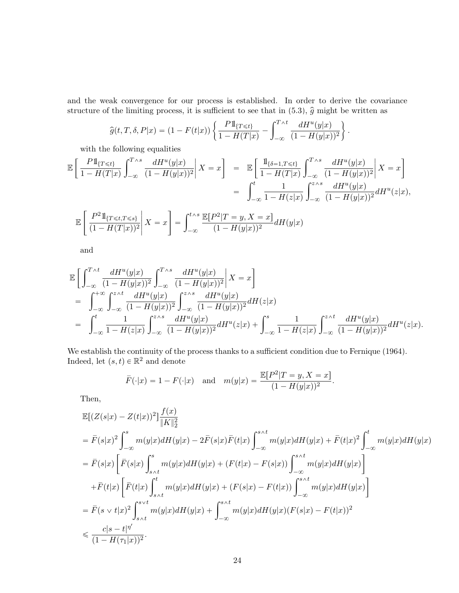and the weak convergence for our process is established. In order to derive the covariance structure of the limiting process, it is sufficient to see that in  $(5.3)$  $(5.3)$ ,  $\hat{g}$  might be written as

$$
\widehat{g}(t,T,\delta,P|x) = (1 - F(t|x)) \left\{ \frac{P1_{\{T \le t\}}}{1 - H(T|x)} - \int_{-\infty}^{T \wedge t} \frac{dH^u(y|x)}{(1 - H(y|x))^2} \right\}.
$$

with the following equalities

$$
\mathbb{E}\left[\frac{P1_{\{T \le t\}}}{1 - H(T|x)} \int_{-\infty}^{T \wedge s} \frac{dH^u(y|x)}{(1 - H(y|x))^2} \middle| X = x\right] = \mathbb{E}\left[\frac{1_{\{\delta = 1, T \le t\}}}{1 - H(T|x)} \int_{-\infty}^{T \wedge s} \frac{dH^u(y|x)}{(1 - H(y|x))^2} \middle| X = x\right]
$$

$$
= \int_{-\infty}^t \frac{1}{1 - H(z|x)} \int_{-\infty}^{z \wedge s} \frac{dH^u(y|x)}{(1 - H(y|x))^2} dH^u(z|x),
$$

$$
\left[P^21_{\{T \le t, T \le t\}}\right] = \int_{-\infty}^{t \wedge s} \mathbb{E}[P^2|T = y, X = x]
$$

$$
\mathbb{E}\left[\left.\frac{P^2 1\!\mathrm{l}_{\{T \leq t, T \leq s\}}}{(1 - H(T|x))^2}\right| X = x\right] = \int_{-\infty}^{t \wedge s} \frac{\mathbb{E}[P^2|T = y, X = x]}{(1 - H(y|x))^2} dH(y|x)
$$

and

$$
\begin{split} &\mathbb{E}\bigg[\int_{-\infty}^{T\wedge t}\frac{dH^{u}(y|x)}{(1-H(y|x))^{2}}\int_{-\infty}^{T\wedge s}\frac{dH^{u}(y|x)}{(1-H(y|x))^{2}}\bigg|X=x\bigg]\\ &=\int_{-\infty}^{+\infty}\int_{-\infty}^{z\wedge t}\frac{dH^{u}(y|x)}{(1-H(y|x))^{2}}\int_{-\infty}^{z\wedge s}\frac{dH^{u}(y|x)}{(1-H(y|x))^{2}}dH(z|x)\\ &=\int_{-\infty}^{t}\frac{1}{1-H(z|x)}\int_{-\infty}^{z\wedge s}\frac{dH^{u}(y|x)}{(1-H(y|x))^{2}}dH^{u}(z|x)+\int_{-\infty}^{s}\frac{1}{1-H(z|x)}\int_{-\infty}^{z\wedge t}\frac{dH^{u}(y|x)}{(1-H(y|x))^{2}}dH^{u}(z|x). \end{split}
$$

We establish the continuity of the process thanks to a sufficient condition due to [Fernique \(1964\)](#page-26-13). Indeed, let  $(s, t) \in \mathbb{R}^2$  and denote

$$
\overline{F}(\cdot|x) = 1 - F(\cdot|x)
$$
 and  $m(y|x) = \frac{\mathbb{E}[P^2|T = y, X = x]}{(1 - H(y|x))^2}$ .

Then,

$$
\begin{split} &\mathbb{E}[(Z(s|x)-Z(t|x))^2]\frac{f(x)}{\|K\|_2^2}\\ &=\bar{F}(s|x)^2\int_{-\infty}^s m(y|x)dH(y|x)-2\bar{F}(s|x)\bar{F}(t|x)\int_{-\infty}^{s\wedge t} m(y|x)dH(y|x)+\bar{F}(t|x)^2\int_{-\infty}^t m(y|x)dH(y|x)\\ &=\bar{F}(s|x)\left[\bar{F}(s|x)\int_{s\wedge t}^s m(y|x)dH(y|x)+(F(t|x)-F(s|x))\int_{-\infty}^{s\wedge t} m(y|x)dH(y|x)\right]\\ &+\bar{F}(t|x)\left[\bar{F}(t|x)\int_{s\wedge t}^t m(y|x)dH(y|x)+(F(s|x)-F(t|x))\int_{-\infty}^{s\wedge t} m(y|x)dH(y|x)\right]\\ &=\bar{F}(s\vee t|x)^2\int_{s\wedge t}^{s\vee t} m(y|x)dH(y|x)+\int_{-\infty}^{s\wedge t} m(y|x)dH(y|x)(F(s|x)-F(t|x))^2\\ &\leq \frac{c|s-t|^{\eta'}}{(1-H(\tau_1|x))^2}. \end{split}
$$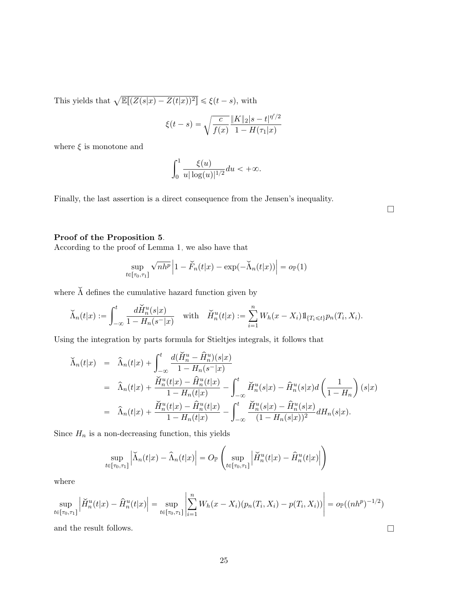This yields that  $\sqrt{\mathbb{E}[(Z(s|x) - Z(t|x))^2]} \leq \xi(t-s)$ , with

$$
\xi(t-s) = \sqrt{\frac{c}{f(x)} \frac{\|K\|_2 |s-t|^{\eta'/2}}{1 - H(\tau_1 | x)}}
$$

where  $\xi$  is monotone and

$$
\int_0^1 \frac{\xi(u)}{u|\log(u)|^{1/2}} du < +\infty.
$$

Finally, the last assertion is a direct consequence from the Jensen's inequality.

 $\Box$ 

## Proof of the Proposition [5](#page-7-3).

According to the proof of Lemma [1,](#page-5-1) we also have that

$$
\sup_{t \in [\tau_0, \tau_1]} \sqrt{n h^p} \left| 1 - \check{F}_n(t|x) - \exp(-\check{\Lambda}_n(t|x)) \right| = o_{\mathbb{P}}(1)
$$

where  $\check{\Lambda}$  defines the cumulative hazard function given by

$$
\check{\Lambda}_n(t|x) := \int_{-\infty}^t \frac{d\check{H}_n^u(s|x)}{1 - H_n(s^-|x)} \quad \text{with} \quad \check{H}_n^u(t|x) := \sum_{i=1}^n W_h(x - X_i) 1\!\!1_{\{T_i \le t\}} p_n(T_i, X_i).
$$

Using the integration by parts formula for Stieltjes integrals, it follows that

$$
\tilde{\Lambda}_n(t|x) = \hat{\Lambda}_n(t|x) + \int_{-\infty}^t \frac{d(\check{H}_n^u - \hat{H}_n^u)(s|x)}{1 - H_n(s^{-}|x)} \n= \hat{\Lambda}_n(t|x) + \frac{\check{H}_n^u(t|x) - \hat{H}_n^u(t|x)}{1 - H_n(t|x)} - \int_{-\infty}^t \check{H}_n^u(s|x) - \hat{H}_n^u(s|x)d\left(\frac{1}{1 - H_n}\right)(s|x) \n= \hat{\Lambda}_n(t|x) + \frac{\check{H}_n^u(t|x) - \hat{H}_n^u(t|x)}{1 - H_n(t|x)} - \int_{-\infty}^t \frac{\check{H}_n^u(s|x) - \hat{H}_n^u(s|x)}{(1 - H_n(s|x))^2} dH_n(s|x).
$$

Since  $H_n$  is a non-decreasing function, this yields ˜

$$
\sup_{t\in[\tau_0,\tau_1]}\left|\widecheck{\Lambda}_n(t|x)-\widehat{\Lambda}_n(t|x)\right|=O_{\mathbb{P}}\left(\sup_{t\in[\tau_0,\tau_1]}\left|\widecheck{H}^u_n(t|x)-\widehat{H}^u_n(t|x)\right|\right)
$$

where

$$
\sup_{t \in [\tau_0, \tau_1]} \left| \check{H}_n^u(t|x) - \hat{H}_n^u(t|x) \right| = \sup_{t \in [\tau_0, \tau_1]} \left| \sum_{i=1}^n W_h(x - X_i)(p_n(T_i, X_i) - p(T_i, X_i)) \right| = o_{\mathbb{P}}((nh^p)^{-1/2})
$$

and the result follows.  $\hfill \square$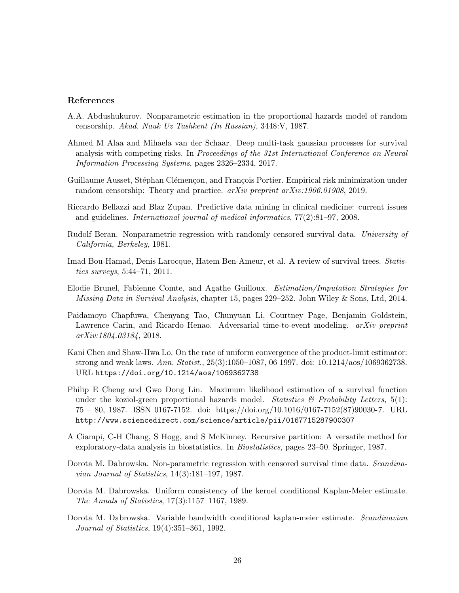#### References

- <span id="page-25-5"></span>A.A. Abdushukurov. Nonparametric estimation in the proportional hazards model of random censorship. Akad. Nauk Uz Tashkent (In Russian), 3448:V, 1987.
- <span id="page-25-12"></span>Ahmed M Alaa and Mihaela van der Schaar. Deep multi-task gaussian processes for survival analysis with competing risks. In Proceedings of the 31st International Conference on Neural Information Processing Systems, pages 2326–2334, 2017.
- <span id="page-25-11"></span>Guillaume Ausset, Stéphan Clémençon, and François Portier. Empirical risk minimization under random censorship: Theory and practice. arXiv preprint arXiv:1906.01908, 2019.
- <span id="page-25-10"></span>Riccardo Bellazzi and Blaz Zupan. Predictive data mining in clinical medicine: current issues and guidelines. International journal of medical informatics, 77(2):81–97, 2008.
- <span id="page-25-1"></span>Rudolf Beran. Nonparametric regression with randomly censored survival data. University of California, Berkeley, 1981.
- <span id="page-25-9"></span>Imad Bou-Hamad, Denis Larocque, Hatem Ben-Ameur, et al. A review of survival trees. Statistics surveys, 5:44–71, 2011.
- <span id="page-25-7"></span>Elodie Brunel, Fabienne Comte, and Agathe Guilloux. Estimation/Imputation Strategies for Missing Data in Survival Analysis, chapter 15, pages 229–252. John Wiley & Sons, Ltd, 2014.
- <span id="page-25-13"></span>Paidamoyo Chapfuwa, Chenyang Tao, Chunyuan Li, Courtney Page, Benjamin Goldstein, Lawrence Carin, and Ricardo Henao. Adversarial time-to-event modeling. *arXiv preprint* arXiv:1804.03184, 2018.
- <span id="page-25-0"></span>Kani Chen and Shaw-Hwa Lo. On the rate of uniform convergence of the product-limit estimator: strong and weak laws. Ann. Statist., 25(3):1050–1087, 06 1997. doi: 10.1214/aos/1069362738. URL <https://doi.org/10.1214/aos/1069362738>.
- <span id="page-25-6"></span>Philip E Cheng and Gwo Dong Lin. Maximum likelihood estimation of a survival function under the koziol-green proportional hazards model. Statistics  $\mathcal{B}$  Probability Letters, 5(1): 75 – 80, 1987. ISSN 0167-7152. doi: https://doi.org/10.1016/0167-7152(87)90030-7. URL <http://www.sciencedirect.com/science/article/pii/0167715287900307>.
- <span id="page-25-8"></span>A Ciampi, C-H Chang, S Hogg, and S McKinney. Recursive partition: A versatile method for exploratory-data analysis in biostatistics. In Biostatistics, pages 23–50. Springer, 1987.
- <span id="page-25-2"></span>Dorota M. Dabrowska. Non-parametric regression with censored survival time data. *Scandina*vian Journal of Statistics, 14(3):181–197, 1987.
- <span id="page-25-3"></span>Dorota M. Dabrowska. Uniform consistency of the kernel conditional Kaplan-Meier estimate. The Annals of Statistics, 17(3):1157–1167, 1989.
- <span id="page-25-4"></span>Dorota M. Dabrowska. Variable bandwidth conditional kaplan-meier estimate. Scandinavian Journal of Statistics, 19(4):351–361, 1992.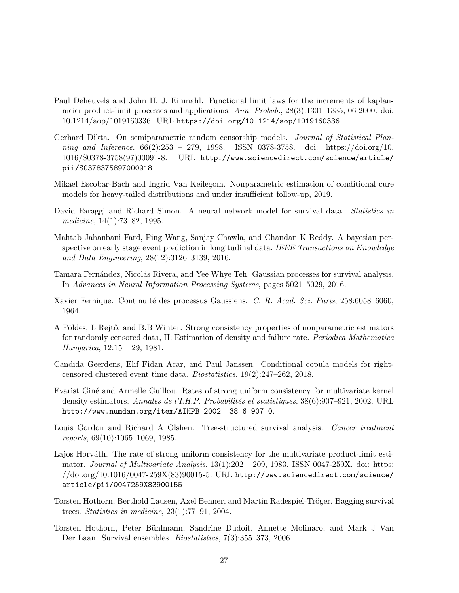- <span id="page-26-1"></span>Paul Deheuvels and John H. J. Einmahl. Functional limit laws for the increments of kaplanmeier product-limit processes and applications. Ann. Probab., 28(3):1301–1335, 06 2000. doi: 10.1214/aop/1019160336. URL <https://doi.org/10.1214/aop/1019160336>.
- <span id="page-26-3"></span>Gerhard Dikta. On semiparametric random censorship models. *Journal of Statistical Plan*ning and Inference, 66(2):253 – 279, 1998. ISSN 0378-3758. doi: https://doi.org/10. 1016/S0378-3758(97)00091-8. URL [http://www.sciencedirect.com/science/article/](http://www.sciencedirect.com/science/article/pii/S0378375897000918) [pii/S0378375897000918](http://www.sciencedirect.com/science/article/pii/S0378375897000918).
- <span id="page-26-12"></span>Mikael Escobar-Bach and Ingrid Van Keilegom. Nonparametric estimation of conditional cure models for heavy-tailed distributions and under insufficient follow-up, 2019.
- <span id="page-26-9"></span>David Faraggi and Richard Simon. A neural network model for survival data. *Statistics in* medicine, 14(1):73–82, 1995.
- <span id="page-26-6"></span>Mahtab Jahanbani Fard, Ping Wang, Sanjay Chawla, and Chandan K Reddy. A bayesian perspective on early stage event prediction in longitudinal data. IEEE Transactions on Knowledge and Data Engineering, 28(12):3126–3139, 2016.
- <span id="page-26-8"></span>Tamara Fernández, Nicolás Rivera, and Yee Whye Teh. Gaussian processes for survival analysis. In Advances in Neural Information Processing Systems, pages 5021–5029, 2016.
- <span id="page-26-13"></span>Xavier Fernique. Continuité des processus Gaussiens. C. R. Acad. Sci. Paris, 258:6058–6060, 1964.
- <span id="page-26-0"></span>A Földes, L Rejtő, and B.B Winter. Strong consistency properties of nonparametric estimators for randomly censored data, II: Estimation of density and failure rate. Periodica Mathematica Hungarica, 12:15 – 29, 1981.
- <span id="page-26-11"></span>Candida Geerdens, Elif Fidan Acar, and Paul Janssen. Conditional copula models for rightcensored clustered event time data. Biostatistics, 19(2):247–262, 2018.
- <span id="page-26-10"></span>Evarist Giné and Armelle Guillou. Rates of strong uniform consistency for multivariate kernel density estimators. Annales de l'I.H.P. Probabilités et statistiques,  $38(6):907-921$ , 2002. URL [http://www.numdam.org/item/AIHPB\\_2002\\_\\_38\\_6\\_907\\_0](http://www.numdam.org/item/AIHPB_2002__38_6_907_0).
- <span id="page-26-4"></span>Louis Gordon and Richard A Olshen. Tree-structured survival analysis. Cancer treatment reports, 69(10):1065–1069, 1985.
- <span id="page-26-2"></span>Lajos Horváth. The rate of strong uniform consistency for the multivariate product-limit estimator. Journal of Multivariate Analysis,  $13(1):202 - 209$ , 1983. ISSN 0047-259X. doi: https:  $\frac{1}{\d{1}}$  /doi.org/10.1016/0047-259X(83)90015-5. URL [http://www.sciencedirect.com/science/](http://www.sciencedirect.com/science/article/pii/0047259X83900155) [article/pii/0047259X83900155](http://www.sciencedirect.com/science/article/pii/0047259X83900155).
- <span id="page-26-5"></span>Torsten Hothorn, Berthold Lausen, Axel Benner, and Martin Radespiel-Tröger. Bagging survival trees. Statistics in medicine, 23(1):77–91, 2004.
- <span id="page-26-7"></span>Torsten Hothorn, Peter Bühlmann, Sandrine Dudoit, Annette Molinaro, and Mark J Van Der Laan. Survival ensembles. Biostatistics, 7(3):355–373, 2006.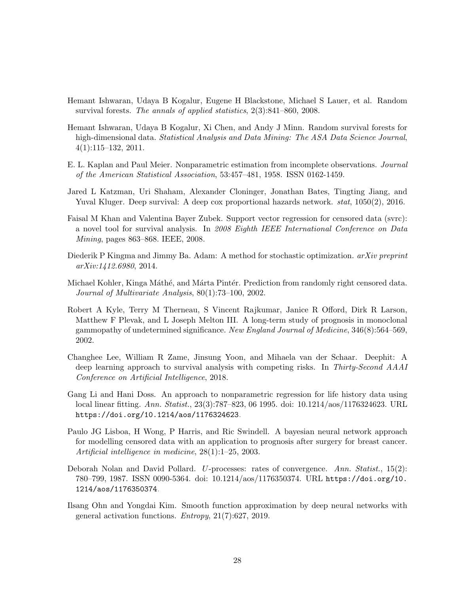- <span id="page-27-2"></span>Hemant Ishwaran, Udaya B Kogalur, Eugene H Blackstone, Michael S Lauer, et al. Random survival forests. The annals of applied statistics, 2(3):841–860, 2008.
- <span id="page-27-3"></span>Hemant Ishwaran, Udaya B Kogalur, Xi Chen, and Andy J Minn. Random survival forests for high-dimensional data. Statistical Analysis and Data Mining: The ASA Data Science Journal, 4(1):115–132, 2011.
- <span id="page-27-0"></span>E. L. Kaplan and Paul Meier. Nonparametric estimation from incomplete observations. Journal of the American Statistical Association, 53:457–481, 1958. ISSN 0162-1459.
- <span id="page-27-7"></span>Jared L Katzman, Uri Shaham, Alexander Cloninger, Jonathan Bates, Tingting Jiang, and Yuval Kluger. Deep survival: A deep cox proportional hazards network. stat, 1050(2), 2016.
- <span id="page-27-5"></span>Faisal M Khan and Valentina Bayer Zubek. Support vector regression for censored data (svrc): a novel tool for survival analysis. In 2008 Eighth IEEE International Conference on Data Mining, pages 863–868. IEEE, 2008.
- <span id="page-27-10"></span>Diederik P Kingma and Jimmy Ba. Adam: A method for stochastic optimization.  $arXiv$  preprint arXiv:1412.6980, 2014.
- <span id="page-27-6"></span>Michael Kohler, Kinga Máthé, and Márta Pintér. Prediction from randomly right censored data. Journal of Multivariate Analysis, 80(1):73–100, 2002.
- <span id="page-27-11"></span>Robert A Kyle, Terry M Therneau, S Vincent Rajkumar, Janice R Offord, Dirk R Larson, Matthew F Plevak, and L Joseph Melton III. A long-term study of prognosis in monoclonal gammopathy of undetermined significance. New England Journal of Medicine, 346(8):564–569, 2002.
- <span id="page-27-8"></span>Changhee Lee, William R Zame, Jinsung Yoon, and Mihaela van der Schaar. Deephit: A deep learning approach to survival analysis with competing risks. In Thirty-Second AAAI Conference on Artificial Intelligence, 2018.
- <span id="page-27-1"></span>Gang Li and Hani Doss. An approach to nonparametric regression for life history data using local linear fitting. Ann. Statist., 23(3):787–823, 06 1995. doi: 10.1214/aos/1176324623. URL <https://doi.org/10.1214/aos/1176324623>.
- <span id="page-27-4"></span>Paulo JG Lisboa, H Wong, P Harris, and Ric Swindell. A bayesian neural network approach for modelling censored data with an application to prognosis after surgery for breast cancer. Artificial intelligence in medicine, 28(1):1–25, 2003.
- <span id="page-27-12"></span>Deborah Nolan and David Pollard. U-processes: rates of convergence. Ann. Statist., 15(2): 780–799, 1987. ISSN 0090-5364. doi: 10.1214/aos/1176350374. URL [https://doi.org/10.](https://doi.org/10.1214/aos/1176350374) [1214/aos/1176350374](https://doi.org/10.1214/aos/1176350374).
- <span id="page-27-9"></span>Ilsang Ohn and Yongdai Kim. Smooth function approximation by deep neural networks with general activation functions. Entropy, 21(7):627, 2019.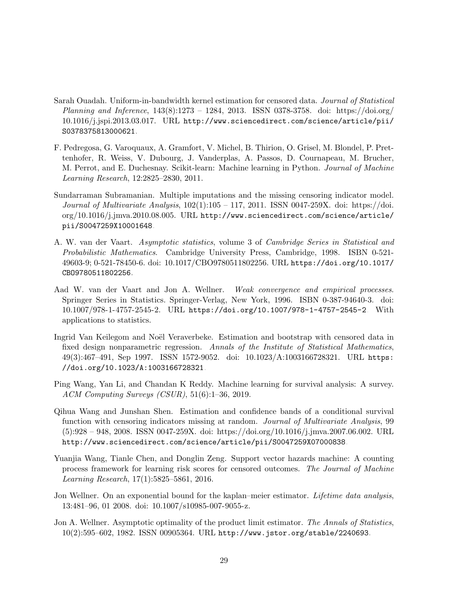- <span id="page-28-1"></span>Sarah Ouadah. Uniform-in-bandwidth kernel estimation for censored data. Journal of Statistical Planning and Inference, 143(8):1273 – 1284, 2013. ISSN 0378-3758. doi: https://doi.org/ 10.1016/j.jspi.2013.03.017. URL [http://www.sciencedirect.com/science/article/pii/](http://www.sciencedirect.com/science/article/pii/S0378375813000621) [S0378375813000621](http://www.sciencedirect.com/science/article/pii/S0378375813000621).
- <span id="page-28-7"></span>F. Pedregosa, G. Varoquaux, A. Gramfort, V. Michel, B. Thirion, O. Grisel, M. Blondel, P. Prettenhofer, R. Weiss, V. Dubourg, J. Vanderplas, A. Passos, D. Cournapeau, M. Brucher, M. Perrot, and E. Duchesnay. Scikit-learn: Machine learning in Python. Journal of Machine Learning Research, 12:2825–2830, 2011.
- <span id="page-28-4"></span>Sundarraman Subramanian. Multiple imputations and the missing censoring indicator model. Journal of Multivariate Analysis,  $102(1):105 - 117$ , 2011. ISSN 0047-259X. doi: https://doi. org/10.1016/j.jmva.2010.08.005. URL [http://www.sciencedirect.com/science/article/](http://www.sciencedirect.com/science/article/pii/S0047259X10001648) [pii/S0047259X10001648](http://www.sciencedirect.com/science/article/pii/S0047259X10001648).
- <span id="page-28-9"></span>A. W. van der Vaart. Asymptotic statistics, volume 3 of Cambridge Series in Statistical and Probabilistic Mathematics. Cambridge University Press, Cambridge, 1998. ISBN 0-521- 49603-9; 0-521-78450-6. doi: 10.1017/CBO9780511802256. URL [https://doi.org/10.1017/](https://doi.org/10.1017/CBO9780511802256) [CBO9780511802256](https://doi.org/10.1017/CBO9780511802256).
- <span id="page-28-10"></span>Aad W. van der Vaart and Jon A. Wellner. Weak convergence and empirical processes. Springer Series in Statistics. Springer-Verlag, New York, 1996. ISBN 0-387-94640-3. doi: 10.1007/978-1-4757-2545-2. URL <https://doi.org/10.1007/978-1-4757-2545-2>. With applications to statistics.
- <span id="page-28-8"></span>Ingrid Van Keilegom and Noël Veraverbeke. Estimation and bootstrap with censored data in fixed design nonparametric regression. Annals of the Institute of Statistical Mathematics, 49(3):467–491, Sep 1997. ISSN 1572-9052. doi: 10.1023/A:1003166728321. URL [https:](https://doi.org/10.1023/A:1003166728321) [//doi.org/10.1023/A:1003166728321](https://doi.org/10.1023/A:1003166728321).
- <span id="page-28-5"></span>Ping Wang, Yan Li, and Chandan K Reddy. Machine learning for survival analysis: A survey. ACM Computing Surveys (CSUR), 51(6):1–36, 2019.
- <span id="page-28-3"></span>Qihua Wang and Junshan Shen. Estimation and confidence bands of a conditional survival function with censoring indicators missing at random. Journal of Multivariate Analysis, 99 (5):928 – 948, 2008. ISSN 0047-259X. doi: https://doi.org/10.1016/j.jmva.2007.06.002. URL <http://www.sciencedirect.com/science/article/pii/S0047259X07000838>.
- <span id="page-28-6"></span>Yuanjia Wang, Tianle Chen, and Donglin Zeng. Support vector hazards machine: A counting process framework for learning risk scores for censored outcomes. The Journal of Machine Learning Research, 17(1):5825–5861, 2016.
- <span id="page-28-2"></span>Jon Wellner. On an exponential bound for the kaplan–meier estimator. Lifetime data analysis, 13:481–96, 01 2008. doi: 10.1007/s10985-007-9055-z.
- <span id="page-28-0"></span>Jon A. Wellner. Asymptotic optimality of the product limit estimator. The Annals of Statistics, 10(2):595–602, 1982. ISSN 00905364. URL <http://www.jstor.org/stable/2240693>.